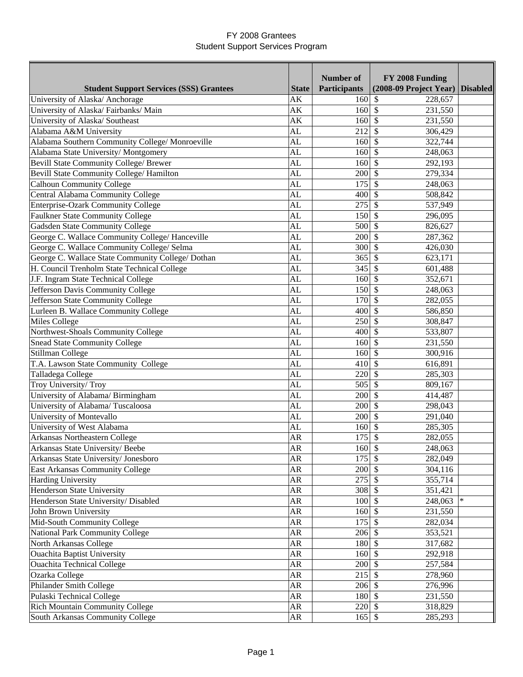|                                                   |              | <b>Number of</b>           | FY 2008 Funding                    |                 |
|---------------------------------------------------|--------------|----------------------------|------------------------------------|-----------------|
| <b>Student Support Services (SSS) Grantees</b>    | <b>State</b> | <b>Participants</b>        | (2008-09 Project Year)             | <b>Disabled</b> |
| University of Alaska/ Anchorage                   | AK           | 160                        | 228,657<br>$\mathcal{S}$           |                 |
| University of Alaska/ Fairbanks/ Main             | AK           | $160 \overline{\smash{3}}$ | 231,550                            |                 |
| University of Alaska/ Southeast                   | AK           | $160 \text{ s}$            | 231,550                            |                 |
| Alabama A&M University                            | AL           | 212                        | -\$<br>306,429                     |                 |
| Alabama Southern Community College/ Monroeville   | AL           | $160\overline{\text{S}}$   | 322,744                            |                 |
| Alabama State University/Montgomery               | AL           | 160S                       | 248,063                            |                 |
| Bevill State Community College/ Brewer            | AL           | $160 \text{ s}$            | 292,193                            |                 |
| Bevill State Community College/ Hamilton          | AL           | $200 \text{ }$ \$          | 279,334                            |                 |
| <b>Calhoun Community College</b>                  | AL           | 175                        | $\sqrt[6]{\frac{1}{2}}$<br>248,063 |                 |
| Central Alabama Community College                 | AL           | 400                        | -\$<br>508,842                     |                 |
| Enterprise-Ozark Community College                | AL           | 275                        | $\mathcal{S}$<br>537,949           |                 |
| <b>Faulkner State Community College</b>           | AL           | 150                        | \$<br>296,095                      |                 |
| Gadsden State Community College                   | AL           | 500                        | $\mathcal{S}$<br>826,627           |                 |
| George C. Wallace Community College/ Hanceville   | AL           | 200                        | $\mathcal{S}$<br>287,362           |                 |
| George C. Wallace Community College/ Selma        | AL           | 300                        | -\$<br>426,030                     |                 |
| George C. Wallace State Community College/ Dothan | AL           | $365$ \$                   | 623,171                            |                 |
| H. Council Trenholm State Technical College       | AL           | 345                        | $\mathcal{S}$<br>601,488           |                 |
| J.F. Ingram State Technical College               | AL           | 160                        | $\mathcal{S}$<br>352,671           |                 |
|                                                   | AL           | 150                        | $\mathcal{S}$                      |                 |
| Jefferson Davis Community College                 |              |                            | 248,063<br>$\mathcal{S}$           |                 |
| Jefferson State Community College                 | AL           | 170                        | 282,055                            |                 |
| Lurleen B. Wallace Community College              | AL           | 400                        | $\mathcal{S}$<br>586,850           |                 |
| Miles College                                     | AL           | 250                        | $\mathcal{S}$<br>308,847           |                 |
| Northwest-Shoals Community College                | AL           | $400 \, \text{S}$          | 533,807                            |                 |
| <b>Snead State Community College</b>              | AL           | $160\overline{\smash{5}}$  | 231,550                            |                 |
| Stillman College                                  | AL           | 160                        | $\sqrt[6]{\frac{1}{2}}$<br>300,916 |                 |
| T.A. Lawson State Community College               | AL           | 410                        | $\sqrt[6]{\frac{1}{2}}$<br>616,891 |                 |
| Talladega College                                 | AL           | 220                        | $\mathcal{S}$<br>285,303           |                 |
| Troy University/Troy                              | AL           | 505                        | $\mathcal{S}$<br>809,167           |                 |
| University of Alabama/ Birmingham                 | AL           | 200                        | $\mathcal{S}$<br>414,487           |                 |
| University of Alabama/Tuscaloosa                  | AL           | 200                        | -S<br>298,043                      |                 |
| University of Montevallo                          | AL           | 200                        | -\$<br>291,040                     |                 |
| University of West Alabama                        | AL           | 160                        | 285,305<br>-S                      |                 |
| Arkansas Northeastern College                     | AR           | 175                        | $\mathcal{S}$<br>282,055           |                 |
| Arkansas State University/Beebe                   | AR           | 160S                       | 248,063                            |                 |
| Arkansas State University/ Jonesboro              | <b>AR</b>    | 175                        | $\mathcal{S}$<br>282,049           |                 |
| East Arkansas Community College                   | ${\sf AR}$   | $200 \text{ }$ \$          | 304,116                            |                 |
| Harding University                                | ${\sf AR}$   | 275                        | \$<br>355,714                      |                 |
| <b>Henderson State University</b>                 | ${\sf AR}$   | 308 \$                     | 351,421                            |                 |
| Henderson State University/ Disabled              | ${\sf AR}$   | $100 \vert S$              | 248,063                            | $\ast$          |
| John Brown University                             | ${\sf AR}$   | $160 \text{ }$ \$          | 231,550                            |                 |
| Mid-South Community College                       | AR           | $175$ \$                   | 282,034                            |                 |
| <b>National Park Community College</b>            | AR           | $206$ \$                   | 353,521                            |                 |
| North Arkansas College                            | ${\sf AR}$   | 180                        | $\mathcal{S}$<br>317,682           |                 |
| <b>Ouachita Baptist University</b>                |              |                            |                                    |                 |
|                                                   | ${\sf AR}$   | 160                        | $\mathcal{S}$<br>292,918           |                 |
| <b>Ouachita Technical College</b>                 | ${\sf AR}$   | $200 \, \text{S}$          | 257,584                            |                 |
| Ozarka College                                    | ${\sf AR}$   | 215                        | $\mathcal{S}$<br>278,960           |                 |
| Philander Smith College                           | ${\sf AR}$   | $206 \text{ }$ \$          | 276,996                            |                 |
| Pulaski Technical College                         | ${\sf AR}$   | 180 \$                     | 231,550                            |                 |
| <b>Rich Mountain Community College</b>            | ${\sf AR}$   | $220 \text{ }$ \$          | 318,829                            |                 |
| South Arkansas Community College                  | ${\sf AR}$   | $165$ \$                   | 285,293                            |                 |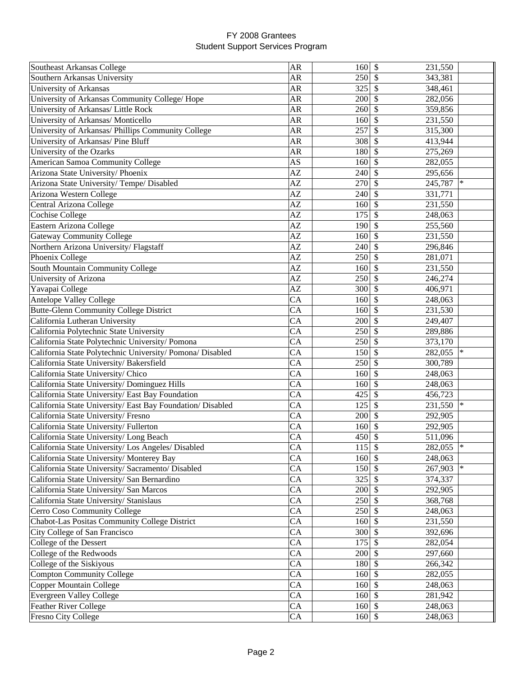| Southeast Arkansas College                                | <b>AR</b> | 160               | \$<br>231,550                        |        |
|-----------------------------------------------------------|-----------|-------------------|--------------------------------------|--------|
| Southern Arkansas University                              | <b>AR</b> | 250               | $\mathbb{S}$<br>343,381              |        |
| University of Arkansas                                    | AR        | 325               | \$<br>348,461                        |        |
| University of Arkansas Community College/ Hope            | AR        | 200               | \$<br>282,056                        |        |
| University of Arkansas/ Little Rock                       | <b>AR</b> | 260               | \$<br>359,856                        |        |
| University of Arkansas/ Monticello                        | <b>AR</b> | 160               | \$<br>231,550                        |        |
| University of Arkansas/ Phillips Community College        | <b>AR</b> | 257               | \$<br>315,300                        |        |
| University of Arkansas/ Pine Bluff                        | <b>AR</b> | 308               | $\mathcal{S}$<br>413,944             |        |
| University of the Ozarks                                  | <b>AR</b> | 180               | $\mathcal{S}$<br>275,269             |        |
| American Samoa Community College                          | AS        | 160               | \$                                   |        |
|                                                           | AZ        |                   | 282,055<br>\$                        |        |
| Arizona State University/ Phoenix                         |           | 240               | 295,656                              | $\ast$ |
| Arizona State University/Tempe/Disabled                   | AZ        | 270               | $\mathcal{S}$<br>245,787             |        |
| Arizona Western College                                   | AZ        | 240               | $\mathcal{S}$<br>331,771             |        |
| Central Arizona College                                   | AZ        | 160               | $\mathcal{S}$<br>231,550             |        |
| <b>Cochise College</b>                                    | AZ        | 175               | \$<br>248,063                        |        |
| Eastern Arizona College                                   | AZ        | 190               | $\mathcal{S}$<br>255,560             |        |
| <b>Gateway Community College</b>                          | AZ        | 160               | \$<br>231,550                        |        |
| Northern Arizona University/Flagstaff                     | AZ        | 240               | \$<br>296,846                        |        |
| Phoenix College                                           | AZ        | 250               | \$<br>281,071                        |        |
| South Mountain Community College                          | AZ        | 160               | \$<br>231,550                        |        |
| University of Arizona                                     | AZ        | 250               | \$<br>246,274                        |        |
| Yavapai College                                           | AZ        | 300               | \$<br>406,971                        |        |
| <b>Antelope Valley College</b>                            | CA        | 160               | \$<br>248,063                        |        |
| Butte-Glenn Community College District                    | CA        | 160               | \$<br>231,530                        |        |
| California Lutheran University                            | CA        | 200               | $\mathcal{S}$<br>249,407             |        |
| California Polytechnic State University                   | CA        | 250               | $\boldsymbol{\mathsf{S}}$<br>289,886 |        |
| California State Polytechnic University/ Pomona           | <b>CA</b> | 250               | $\boldsymbol{\mathsf{S}}$<br>373,170 |        |
| California State Polytechnic University/ Pomona/ Disabled | <b>CA</b> | 150S              | 282,055                              | $\ast$ |
| California State University/ Bakersfield                  | <b>CA</b> | 250               | $\mathcal{S}$<br>300,789             |        |
| California State University/ Chico                        | <b>CA</b> | 160               | $\mathcal{S}$<br>248,063             |        |
| California State University/ Dominguez Hills              | CA        | 160               | \$<br>248,063                        |        |
| California State University/ East Bay Foundation          | CA        | 425               | \$<br>456,723                        |        |
| California State University/East Bay Foundation/Disabled  | CA        | 125               | \$<br>231,550                        | $\ast$ |
| California State University/Fresno                        | CA        | 200               | \$<br>292,905                        |        |
| California State University/Fullerton                     | CA        | 160               | \$<br>292,905                        |        |
| California State University/ Long Beach                   | CA        | 450               | \$<br>511,096                        |        |
| California State University/ Los Angeles/ Disabled        | CA        | $115 \,$ \$       | 282,055                              |        |
| California State University/ Monterey Bay                 | CA        | $160 \text{ }$ \$ | 248,063                              |        |
| California State University/ Sacramento/ Disabled         | CA        | $150 \text{ s}$   | 267,903                              | ∗      |
| California State University/ San Bernardino               | CA        | 325               | \$<br>374,337                        |        |
|                                                           | CA        | 200               | \$                                   |        |
| California State University/ San Marcos                   |           |                   | 292,905                              |        |
| California State University/ Stanislaus                   | CA        | 250               | \$<br>368,768                        |        |
| Cerro Coso Community College                              | CA        | 250               | \$<br>248,063                        |        |
| Chabot-Las Positas Community College District             | CA        | $160 \text{ s}$   | 231,550                              |        |
| City College of San Francisco                             | CA        | $300 \mid$ \$     | 392,696                              |        |
| College of the Dessert                                    | CA        | $175$ \$          | 282,054                              |        |
| College of the Redwoods                                   | CA        | $200 \, \text{S}$ | 297,660                              |        |
| College of the Siskiyous                                  | CA        | 180 \$            | 266,342                              |        |
| <b>Compton Community College</b>                          | CA        | $160 \,$ \$       | 282,055                              |        |
| <b>Copper Mountain College</b>                            | CA        | $160 \, \text{S}$ | 248,063                              |        |
| Evergreen Valley College                                  | CA        | $160 \vert \$     | 281,942                              |        |
| Feather River College                                     | CA        | $160 \, \text{S}$ | 248,063                              |        |
| Fresno City College                                       | CA        | $160 \, \text{S}$ | 248,063                              |        |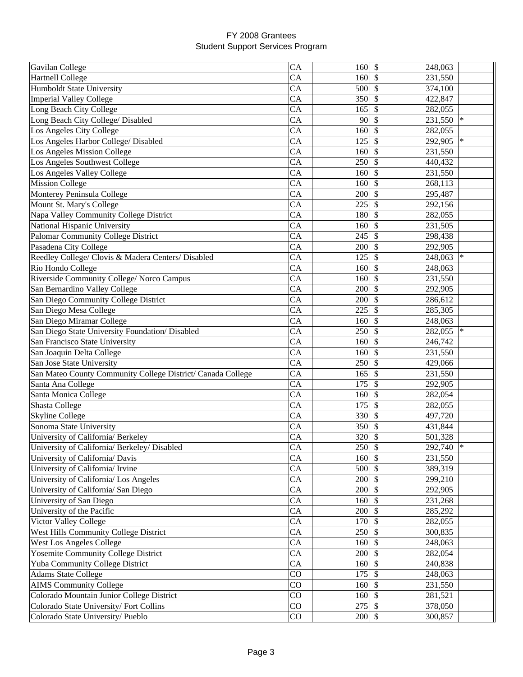| Gavilan College                                             | CA | 160               | \$<br>248,063            |        |
|-------------------------------------------------------------|----|-------------------|--------------------------|--------|
| <b>Hartnell College</b>                                     | CA | 160               | S<br>231,550             |        |
| Humboldt State University                                   | CA | 500               | \$<br>374,100            |        |
| <b>Imperial Valley College</b>                              | CA | 350               | \$<br>422,847            |        |
| Long Beach City College                                     | CA | 165               | \$<br>282,055            |        |
| Long Beach City College/ Disabled                           | CA | 90                | \$<br>231,550            | $\ast$ |
| Los Angeles City College                                    | CA | 160               | \$<br>282,055            |        |
| Los Angeles Harbor College/ Disabled                        | CA | 125               | \$<br>292,905            | $\ast$ |
| <b>Los Angeles Mission College</b>                          | CA | 160               | $\mathcal{S}$<br>231,550 |        |
| Los Angeles Southwest College                               | CA | 250               | \$<br>440,432            |        |
| Los Angeles Valley College                                  | CA | 160               | \$<br>231,550            |        |
| <b>Mission College</b>                                      | CA | 160               | \$<br>268,113            |        |
|                                                             | CA | 200               | $\mathcal{S}$            |        |
| Monterey Peninsula College                                  | CA | 225               | 295,487<br>\$            |        |
| Mount St. Mary's College                                    |    |                   | 292,156                  |        |
| Napa Valley Community College District                      | CA | 180               | \$<br>282,055            |        |
| National Hispanic University                                | CA | 160               | \$<br>231,505            |        |
| <b>Palomar Community College District</b>                   | CA | 245               | \$<br>298,438            |        |
| Pasadena City College                                       | CA | 200               | \$<br>292,905            |        |
| Reedley College/ Clovis & Madera Centers/ Disabled          | CA | 125               | \$<br>248,063            | $\ast$ |
| Rio Hondo College                                           | CA | 160               | \$<br>248,063            |        |
| Riverside Community College/ Norco Campus                   | CA | 160               | \$<br>231,550            |        |
| San Bernardino Valley College                               | CA | 200               | \$<br>292,905            |        |
| San Diego Community College District                        | CA | 200               | \$<br>286,612            |        |
| San Diego Mesa College                                      | CA | 225               | \$<br>285,305            |        |
| San Diego Miramar College                                   | CA | 160               | $\mathcal{S}$<br>248,063 |        |
| San Diego State University Foundation/ Disabled             | CA | 250               | \$<br>282,055            | $\ast$ |
| San Francisco State University                              | CA | 160               | \$<br>246,742            |        |
| San Joaquin Delta College                                   | CA | 160               | \$<br>231,550            |        |
| San Jose State University                                   | CA | 250               | $\mathcal{S}$<br>429,066 |        |
| San Mateo County Community College District/ Canada College | CA | 165               | \$<br>231,550            |        |
| Santa Ana College                                           | CA | 175               | \$<br>292,905            |        |
| Santa Monica College                                        | CA | 160               | \$<br>282,054            |        |
| Shasta College                                              | CA | 175               | \$<br>282,055            |        |
| Skyline College                                             | CA | 330               | \$<br>497,720            |        |
| Sonoma State University                                     | CA | 350               | \$<br>431,844            |        |
| University of California/ Berkeley                          | CA | 320               | \$<br>501,328            |        |
| University of California/ Berkeley/ Disabled                | CA | $250 \text{ }$ \$ | 292,740                  |        |
| University of California/ Davis                             | CA | $160 \,$ \$       | 231,550                  |        |
| University of California/ Irvine                            | CA | 500 \$            | 389,319                  |        |
| University of California/ Los Angeles                       | CA | 200               | \$<br>299,210            |        |
| University of California/ San Diego                         | CA | 200               | \$<br>292,905            |        |
| University of San Diego                                     | CA | 160               | \$<br>231,268            |        |
| University of the Pacific                                   | CA | 200               | \$<br>285,292            |        |
| Victor Valley College                                       | CA | 170               | \$<br>282,055            |        |
| West Hills Community College District                       | CA | 250               | $\mathcal{S}$<br>300,835 |        |
| West Los Angeles College                                    | CA | $160 \vert$ \$    | 248,063                  |        |
| <b>Yosemite Community College District</b>                  | CA | 200               | $\mathcal{S}$<br>282,054 |        |
| Yuba Community College District                             | CA | $160 \, \text{S}$ |                          |        |
|                                                             | CO |                   | 240,838<br>$\mathcal{S}$ |        |
| <b>Adams State College</b>                                  |    | 175               | 248,063                  |        |
| <b>AIMS Community College</b>                               | CO | 160               | $\mathcal{S}$<br>231,550 |        |
| Colorado Mountain Junior College District                   | CO | 160               | $\mathcal{S}$<br>281,521 |        |
| Colorado State University/Fort Collins                      | CO | $275$ \$          | 378,050                  |        |
| Colorado State University/ Pueblo                           | CO | $200 \, \text{S}$ | 300,857                  |        |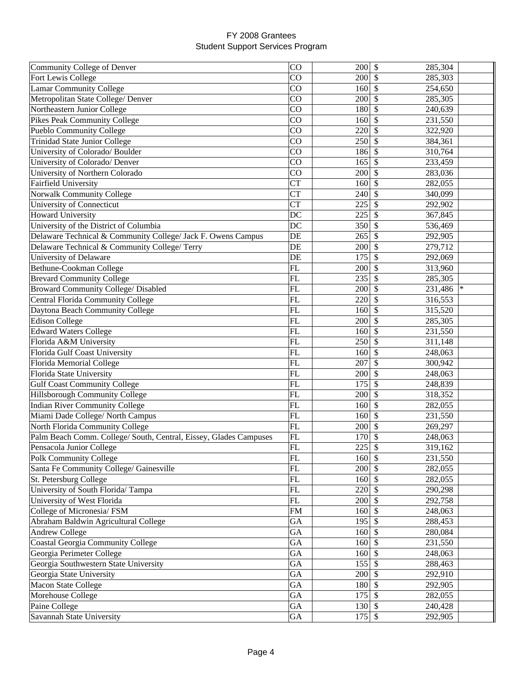| Community College of Denver                                       | CO            | 200               | \$<br>285,304            |
|-------------------------------------------------------------------|---------------|-------------------|--------------------------|
| Fort Lewis College                                                | CO            | 200               | \$<br>285,303            |
| <b>Lamar Community College</b>                                    | CO            | 160               | \$<br>254,650            |
| Metropolitan State College/ Denver                                | CO            | 200               | \$<br>285,305            |
| Northeastern Junior College                                       | CO            | 180               | \$<br>240,639            |
| <b>Pikes Peak Community College</b>                               | CO            | 160               | \$<br>231,550            |
| <b>Pueblo Community College</b>                                   | CO            | 220               | \$<br>322,920            |
| <b>Trinidad State Junior College</b>                              | CO            | 250               | \$<br>384,361            |
| University of Colorado/ Boulder                                   | CO            | 186               | \$<br>310,764            |
| University of Colorado/ Denver                                    | CO            | 165               | \$<br>233,459            |
| University of Northern Colorado                                   | CO            | 200               | $\mathcal{S}$<br>283,036 |
| Fairfield University                                              | <b>CT</b>     | 160               | \$<br>282,055            |
| Norwalk Community College                                         | <b>CT</b>     | 240               | \$<br>340,099            |
| University of Connecticut                                         | <b>CT</b>     | 225               | \$<br>292,902            |
| <b>Howard University</b>                                          | DC            | 225               | \$<br>367,845            |
| University of the District of Columbia                            | DC            | 350               | \$<br>536,469            |
| Delaware Technical & Community College/ Jack F. Owens Campus      | DE            | 265               | \$<br>292,905            |
| Delaware Technical & Community College/ Terry                     | DE            | 200               | \$<br>279,712            |
| University of Delaware                                            | DE            | 175               | \$<br>292,069            |
|                                                                   | FL            | 200               | \$                       |
| Bethune-Cookman College                                           |               |                   | 313,960                  |
| <b>Brevard Community College</b>                                  | FL            | 235               | \$<br>285,305<br>∗       |
| Broward Community College/ Disabled                               | FL            | 200               | \$<br>231,486            |
| Central Florida Community College                                 | FL            | 220               | \$<br>316,553            |
| Daytona Beach Community College                                   | FL            | 160               | \$<br>315,520            |
| <b>Edison College</b>                                             | FL            | 200               | \$<br>285,305            |
| <b>Edward Waters College</b>                                      | FL            | 160               | $\mathcal{S}$<br>231,550 |
| Florida A&M University                                            | FL            | 250               | \$<br>311,148            |
| Florida Gulf Coast University                                     | FL            | 160               | \$<br>248,063            |
| Florida Memorial College                                          | FL            | 207               | \$<br>300,942            |
| Florida State University                                          | FL            | 200               | \$<br>248,063            |
| <b>Gulf Coast Community College</b>                               | FL            | 175               | \$<br>248,839            |
| Hillsborough Community College                                    | FL            | 200               | \$<br>318,352            |
| <b>Indian River Community College</b>                             | FL            | 160               | \$<br>282,055            |
| Miami Dade College/ North Campus                                  | $\mathbf{FL}$ | 160               | \$<br>231,550            |
| North Florida Community College                                   | FL            | 200               | \$<br>269,297            |
| Palm Beach Comm. College/ South, Central, Eissey, Glades Campuses | FL            | 170               | \$<br>248,063            |
| Pensacola Junior College                                          | FL            | 225               | \$<br>319,162            |
| <b>Polk Community College</b>                                     | ${\rm FL}$    | $160 \text{ }$ \$ | 231,550                  |
| Santa Fe Community College/ Gainesville                           | ${\rm FL}$    | 200               | 282,055<br><sup>\$</sup> |
| St. Petersburg College                                            | ${\rm FL}$    | 160               | 282,055<br>S             |
| University of South Florida/Tampa                                 | ${\rm FL}$    | 220               | <sup>\$</sup><br>290,298 |
| University of West Florida                                        | ${\rm FL}$    | 200               | \$<br>292,758            |
| College of Micronesia/ FSM                                        | FM            | 160               | \$<br>248,063            |
| Abraham Baldwin Agricultural College                              | GA            | 195               | \$<br>288,453            |
| <b>Andrew College</b>                                             | GA            | 160               | \$<br>280,084            |
| <b>Coastal Georgia Community College</b>                          | GA            | $160 \text{ s}$   | 231,550                  |
| Georgia Perimeter College                                         | GA            | $160 \vert \$     | 248,063                  |
| Georgia Southwestern State University                             | GA            | 155               | \$<br>288,463            |
| Georgia State University                                          | GA            | 200               | \$<br>292,910            |
| Macon State College                                               | GA            | 180               | \$<br>292,905            |
| Morehouse College                                                 | GA            | 175               | \$<br>282,055            |
| Paine College                                                     | GA            | $130 \text{ }$ \$ | 240,428                  |
| Savannah State University                                         | GA            | $175$ \$          | 292,905                  |
|                                                                   |               |                   |                          |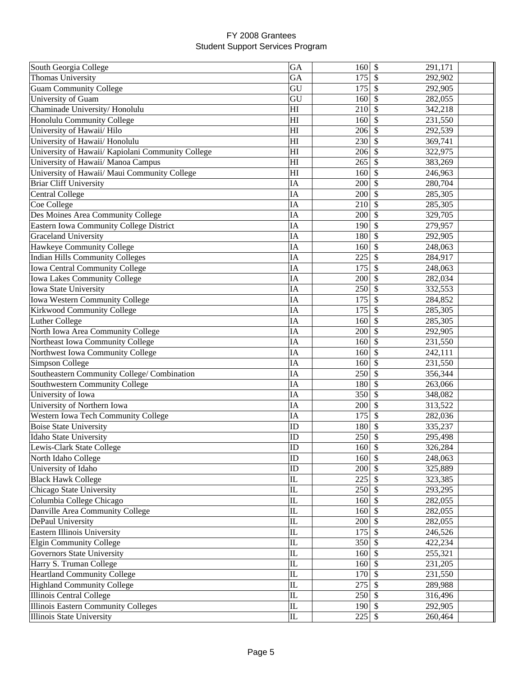| South Georgia College                             | GA       | 160               | \$<br>291,171                        |  |
|---------------------------------------------------|----------|-------------------|--------------------------------------|--|
| <b>Thomas University</b>                          | GA       | 175               | \$<br>292,902                        |  |
| <b>Guam Community College</b>                     | GU       | 175               | \$<br>292,905                        |  |
| University of Guam                                | GU       | 160               | \$<br>282,055                        |  |
| Chaminade University/Honolulu                     | HI       | 210               | \$<br>342,218                        |  |
| Honolulu Community College                        | HI       | 160               | \$<br>231,550                        |  |
| University of Hawaii/ Hilo                        | HI       | 206               | $\mathcal{S}$<br>292,539             |  |
| University of Hawaii/ Honolulu                    | HI       | 230               | $\mathcal{S}$<br>369,741             |  |
| University of Hawaii/ Kapiolani Community College | HI       | 206               | $\mathcal{S}$<br>322,975             |  |
| University of Hawaii/ Manoa Campus                | HI       | 265               | \$<br>383,269                        |  |
| University of Hawaii/ Maui Community College      | HI       | 160               | $\boldsymbol{\mathsf{S}}$<br>246,963 |  |
| <b>Briar Cliff University</b>                     | IA       | 200               | $\boldsymbol{\mathsf{S}}$<br>280,704 |  |
| <b>Central College</b>                            | IA       | 200               | $\boldsymbol{\mathsf{S}}$<br>285,305 |  |
| Coe College                                       | IA       | 210               | \$<br>285,305                        |  |
| Des Moines Area Community College                 | IA       | 200               | \$<br>329,705                        |  |
| Eastern Iowa Community College District           | IA       | 190               | $\mathcal{S}$<br>279,957             |  |
| <b>Graceland University</b>                       | IA       | 180               | \$<br>292,905                        |  |
| Hawkeye Community College                         | IA       | 160               | \$<br>248,063                        |  |
| <b>Indian Hills Community Colleges</b>            | IA       | 225               | \$<br>284,917                        |  |
|                                                   | IA       | 175               | \$                                   |  |
| <b>Iowa Central Community College</b>             | IA       | 200               | 248,063<br>282,034                   |  |
| <b>Iowa Lakes Community College</b>               |          |                   | \$                                   |  |
| Iowa State University                             | IA       | 250               | \$<br>332,553                        |  |
| <b>Iowa Western Community College</b>             | IA       | 175               | \$<br>284,852                        |  |
| Kirkwood Community College                        | IA       | 175               | $\mathcal{S}$<br>285,305             |  |
| Luther College                                    | IA       | 160               | \$<br>285,305                        |  |
| North Iowa Area Community College                 | IA       | 200               | \$<br>292,905                        |  |
| Northeast Iowa Community College                  | IA       | 160               | $\boldsymbol{\mathsf{S}}$<br>231,550 |  |
| Northwest Iowa Community College                  | IA       | 160               | $\boldsymbol{\mathsf{S}}$<br>242,111 |  |
| Simpson College                                   | IA       | 160               | $\boldsymbol{\mathsf{S}}$<br>231,550 |  |
| Southeastern Community College/ Combination       | IA       | 250               | $\boldsymbol{\mathsf{S}}$<br>356,344 |  |
| Southwestern Community College                    | IA       | 180               | \$<br>263,066                        |  |
| University of Iowa                                | IA       | 350               | \$<br>348,082                        |  |
| University of Northern Iowa                       | IA       | 200               | \$<br>313,522                        |  |
| Western Iowa Tech Community College               | IA       | 175               | \$<br>282,036                        |  |
| <b>Boise State University</b>                     | ID       | 180               | \$<br>335,237                        |  |
| Idaho State University                            | ID       | 250               | \$<br>295,498                        |  |
| Lewis-Clark State College                         | ID       | $160 \,$ \$       | 326,284                              |  |
| North Idaho College                               | ID       | $160 \, \text{S}$ | 248,063                              |  |
| University of Idaho                               | ID       | 200               | $\mathbb{S}$<br>325,889              |  |
| <b>Black Hawk College</b>                         | $\rm IL$ | 225               | \$<br>323,385                        |  |
| Chicago State University                          | $\rm IL$ | 250               | \$<br>293,295                        |  |
| Columbia College Chicago                          | $\rm IL$ | 160               | \$<br>282,055                        |  |
| Danville Area Community College                   | $\rm IL$ | 160               | $\mathcal{S}$<br>282,055             |  |
| DePaul University                                 | $\rm IL$ | $200 \, \text{S}$ | 282,055                              |  |
| Eastern Illinois University                       | IL       | 175               | $\mathcal{S}$<br>246,526             |  |
| <b>Elgin Community College</b>                    | IL       | $350$ \$          | 422,234                              |  |
| Governors State University                        | $\rm IL$ | 160               | $\mathcal{S}$<br>255,321             |  |
| Harry S. Truman College                           | $\rm IL$ | 160               | $\mathcal{S}$<br>231,205             |  |
| <b>Heartland Community College</b>                | $\rm IL$ | 170               | $\mathcal{S}$<br>231,550             |  |
| <b>Highland Community College</b>                 | $\rm IL$ | 275               | \$<br>289,988                        |  |
| Illinois Central College                          | $\rm IL$ | 250               | \$<br>316,496                        |  |
| <b>Illinois Eastern Community Colleges</b>        | $\rm IL$ | $190 \, \text{S}$ | 292,905                              |  |
| Illinois State University                         | $\rm IL$ | $225$ \$          | 260,464                              |  |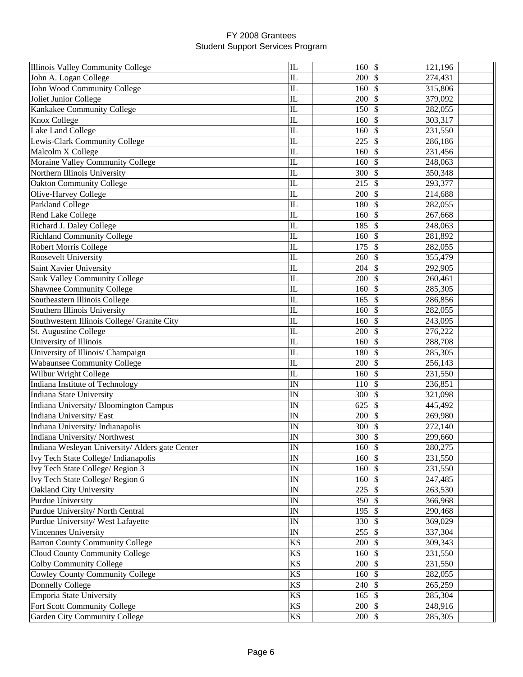| Illinois Valley Community College               | $\mathbf{L}$             | 160               | \$<br>121,196                        |  |
|-------------------------------------------------|--------------------------|-------------------|--------------------------------------|--|
| John A. Logan College                           | IL                       | 200               | 274,431<br>S                         |  |
| John Wood Community College                     | IL                       | 160               | \$<br>315,806                        |  |
| Joliet Junior College                           | IL                       | 200               | \$<br>379,092                        |  |
| Kankakee Community College                      | IL                       | 150               | \$<br>282,055                        |  |
| Knox College                                    | ${\rm IL}$               | 160               | \$<br>303,317                        |  |
| Lake Land College                               | ${\rm IL}$               | 160               | \$<br>231,550                        |  |
| Lewis-Clark Community College                   | IL                       | 225               | \$<br>286,186                        |  |
| Malcolm X College                               | IL                       | 160               | \$<br>231,456                        |  |
| Moraine Valley Community College                | ${\rm IL}$               | 160               | $\mathcal{S}$<br>248,063             |  |
| Northern Illinois University                    | IL                       | 300               | \$<br>350,348                        |  |
| <b>Oakton Community College</b>                 | IL                       | 215               | $\mathcal{S}$<br>293,377             |  |
| Olive-Harvey College                            | IL                       | 200               | \$<br>214,688                        |  |
| Parkland College                                | IL                       | 180               | \$<br>282,055                        |  |
| Rend Lake College                               | IL                       | 160               | $\boldsymbol{\mathsf{S}}$<br>267,668 |  |
| Richard J. Daley College                        | IL                       | 185               | $\mathcal{S}$<br>248,063             |  |
| <b>Richland Community College</b>               | $\mathbf{L}$             | 160               | \$<br>281,892                        |  |
| <b>Robert Morris College</b>                    | IL                       | 175               | \$<br>282,055                        |  |
| Roosevelt University                            | IL                       | 260               | \$<br>355,479                        |  |
| Saint Xavier University                         | IL                       | 204               | \$<br>292,905                        |  |
| Sauk Valley Community College                   | IL                       | 200               | \$<br>260,461                        |  |
| <b>Shawnee Community College</b>                | IL                       | 160               | \$<br>285,305                        |  |
| Southeastern Illinois College                   | ${\rm IL}$               | 165               | \$<br>286,856                        |  |
| Southern Illinois University                    | IL                       | 160               | \$<br>282,055                        |  |
| Southwestern Illinois College/ Granite City     | IL                       | 160               | \$<br>243,095                        |  |
| St. Augustine College                           | IL                       | 200               | \$<br>276,222                        |  |
| University of Illinois                          | IL                       | 160               | $\mathcal{S}$<br>288,708             |  |
| University of Illinois/ Champaign               | IL                       | 180               | \$<br>285,305                        |  |
| <b>Wabaunsee Community College</b>              | IL                       | 200               | $\mathcal{S}$<br>256,143             |  |
| Wilbur Wright College                           | IL                       | 160               | $\boldsymbol{\mathsf{S}}$<br>231,550 |  |
| Indiana Institute of Technology                 | IN                       | 110               | $\mathcal{S}$<br>236,851             |  |
| <b>Indiana State University</b>                 | IN                       | 300               | $\mathcal{S}$<br>321,098             |  |
| Indiana University/ Bloomington Campus          | IN                       | 625               | $\boldsymbol{\mathsf{S}}$<br>445,492 |  |
| Indiana University/East                         | IN                       | 200               | \$<br>269,980                        |  |
| Indiana University/Indianapolis                 | IN                       | 300               | $\mathcal{S}$<br>272,140             |  |
| Indiana University/Northwest                    | IN                       | 300               | \$<br>299,660                        |  |
| Indiana Wesleyan University/ Alders gate Center | $\overline{IN}$          | $160$ \$          | 280,275                              |  |
| Ivy Tech State College/ Indianapolis            | IN                       | $160 \, \text{S}$ | 231,550                              |  |
| Ivy Tech State College/ Region 3                | IN                       | 160S              | 231,550                              |  |
| Ivy Tech State College/ Region 6                | $\ensuremath{\text{IN}}$ | 160               | $\mathbb{S}$<br>247,485              |  |
| Oakland City University                         | $\ensuremath{\text{IN}}$ | 225               | 263,530<br>\$.                       |  |
| Purdue University                               | IN                       | 350               | $\mathbb{S}$<br>366,968              |  |
| Purdue University/ North Central                | IN                       | 195               | \$<br>290,468                        |  |
| Purdue University/ West Lafayette               | IN                       | 330               | \$<br>369,029                        |  |
| Vincennes University                            | $\ensuremath{\text{IN}}$ | 255               | \$<br>337,304                        |  |
| <b>Barton County Community College</b>          | <b>KS</b>                | 200               | \$<br>309,343                        |  |
| Cloud County Community College                  | KS                       | 160               | $\mathcal{S}$<br>231,550             |  |
| Colby Community College                         | <b>KS</b>                | 200               | $\mathcal{S}$<br>231,550             |  |
| <b>Cowley County Community College</b>          | <b>KS</b>                | 160               | $\mathcal{S}$<br>282,055             |  |
| <b>Donnelly College</b>                         | KS                       | 240               | \$<br>265,259                        |  |
| Emporia State University                        | KS                       | 165               | $\boldsymbol{\mathsf{S}}$<br>285,304 |  |
| Fort Scott Community College                    | $\mathbf{K}\mathbf{S}$   | 200               | $\mathbb{S}$<br>248,916              |  |
| Garden City Community College                   | $\mathbf{K}\mathbf{S}$   | $200 \, \text{S}$ | 285,305                              |  |
|                                                 |                          |                   |                                      |  |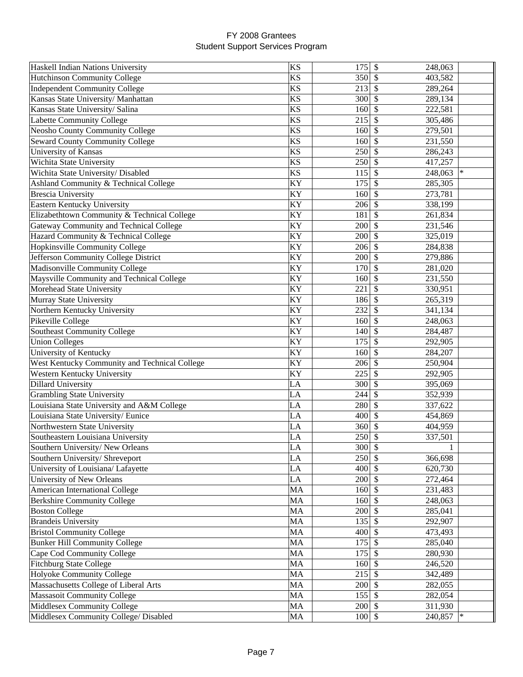| Haskell Indian Nations University             | KS         | 175               | $\mathcal{S}$<br>248,063 |        |
|-----------------------------------------------|------------|-------------------|--------------------------|--------|
| <b>Hutchinson Community College</b>           | <b>KS</b>  | $350$ \$          | 403,582                  |        |
| <b>Independent Community College</b>          | <b>KS</b>  | $213$ \$          | 289,264                  |        |
| Kansas State University/ Manhattan            | <b>KS</b>  | 300               | $\mathcal{S}$<br>289,134 |        |
| Kansas State University/ Salina               | <b>KS</b>  | 160               | $\mathbb{S}$<br>222,581  |        |
| Labette Community College                     | <b>KS</b>  | 215               | 305,486<br>-S            |        |
| <b>Neosho County Community College</b>        | <b>KS</b>  | 160               | -\$<br>279,501           |        |
| <b>Seward County Community College</b>        | <b>KS</b>  | 160               | <sup>\$</sup><br>231,550 |        |
| University of Kansas                          | <b>KS</b>  | 250               | <sup>\$</sup><br>286,243 |        |
| Wichita State University                      | <b>KS</b>  | 250               | $\mathcal{S}$<br>417,257 |        |
| Wichita State University/ Disabled            | <b>KS</b>  | 115               | $\mathcal{S}$<br>248,063 |        |
| Ashland Community & Technical College         | KY         | 175               | \$<br>285,305            |        |
| <b>Brescia University</b>                     | KY         | 160               | $\mathcal{S}$<br>273,781 |        |
| Eastern Kentucky University                   | KY         | 206               | $\mathcal{S}$<br>338,199 |        |
| Elizabethtown Community & Technical College   | KY         | 181               | $\mathcal{S}$<br>261,834 |        |
| Gateway Community and Technical College       | KY         | 200               | $\mathcal{S}$<br>231,546 |        |
| Hazard Community & Technical College          | KY         | 200               | $\mathcal{S}$<br>325,019 |        |
| <b>Hopkinsville Community College</b>         | KY         | 206               | $\mathcal{S}$<br>284,838 |        |
| Jefferson Community College District          | KY         | 200               | 279,886<br>-\$           |        |
| Madisonville Community College                | KY         | 170               | $\mathcal{S}$            |        |
| Maysville Community and Technical College     | KY         |                   | 281,020<br>$\mathcal{S}$ |        |
|                                               |            | 160<br>221        | 231,550                  |        |
| Morehead State University                     | KY         |                   | \$<br>330,951            |        |
| Murray State University                       | KY         | 186 \$            | 265,319                  |        |
| Northern Kentucky University                  | KY         | 232               | <sup>\$</sup><br>341,134 |        |
| Pikeville College                             | KY         | 160               | -\$<br>248,063           |        |
| <b>Southeast Community College</b>            | KY         | 140               | $\mathcal{S}$<br>284,487 |        |
| <b>Union Colleges</b>                         | KY         | 175               | $\mathcal{S}$<br>292,905 |        |
| University of Kentucky                        | KY         | 160               | $\mathcal{S}$<br>284,207 |        |
| West Kentucky Community and Technical College | KY         | 206               | $\mathcal{S}$<br>250,904 |        |
| Western Kentucky University                   | KY         | 225               | $\mathbb{S}$<br>292,905  |        |
| <b>Dillard University</b>                     | LA         | $300 \text{ }$ \$ | 395,069                  |        |
| <b>Grambling State University</b>             | LA         | 244               | $\mathcal{S}$<br>352,939 |        |
| Louisiana State University and A&M College    | LA         | 280               | $\mathcal{S}$<br>337,622 |        |
| Louisiana State University/ Eunice            | LA         | 400               | $\mathcal{S}$<br>454,869 |        |
| Northwestern State University                 | ${\rm LA}$ | 360               | $\mathcal{S}$<br>404,959 |        |
| Southeastern Louisiana University             | LA         | 250               | $\mathcal{S}$<br>337,501 |        |
| Southern University/New Orleans               | LA         | $300 \, \text{s}$ |                          |        |
| Southern University/ Shreveport               | LA         | $250 \text{ }$ \$ | 366,698                  |        |
| University of Louisiana/ Lafayette            | LA         | $400 \,$ \$       | 620,730                  |        |
| University of New Orleans                     | LA         | 200               | 272,464<br>-S            |        |
| American International College                | MA         | 160               | -\$<br>231,483           |        |
| <b>Berkshire Community College</b>            | MA         | 160               | $\mathcal{S}$<br>248,063 |        |
| <b>Boston College</b>                         | MA         | $200 \, \text{S}$ | 285,041                  |        |
| <b>Brandeis University</b>                    | MA         | $135$ \$          | 292,907                  |        |
| <b>Bristol Community College</b>              | MA         | 400               | $\mathcal{S}$<br>473,493 |        |
| <b>Bunker Hill Community College</b>          | MA         | 175               | $\mathcal{S}$<br>285,040 |        |
| Cape Cod Community College                    | MA         | 175               | $\mathcal{S}$<br>280,930 |        |
| <b>Fitchburg State College</b>                | MA         | $160 \,$ \$       | 246,520                  |        |
| Holyoke Community College                     | MA         | $215$ \$          | 342,489                  |        |
| Massachusetts College of Liberal Arts         | MA         | 200               | $\mathcal{S}$<br>282,055 |        |
| <b>Massasoit Community College</b>            | MA         | $155$ \$          | 282,054                  |        |
| Middlesex Community College                   | MA         | $200 \text{ }$ \$ | 311,930                  |        |
| Middlesex Community College/ Disabled         | MA         | $100 \,$ \$       | 240,857                  | $\ast$ |
|                                               |            |                   |                          |        |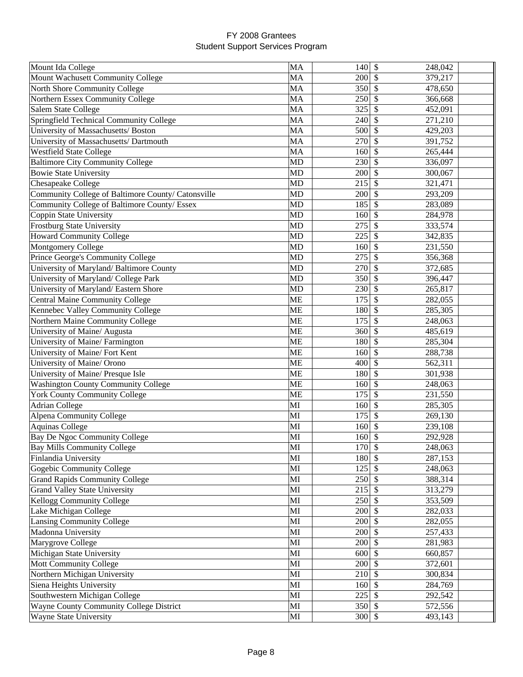| Mount Ida College                                  | MA                     | 140               | $\boldsymbol{\mathsf{S}}$<br>248,042 |  |
|----------------------------------------------------|------------------------|-------------------|--------------------------------------|--|
| Mount Wachusett Community College                  | MA                     | 200               | 379,217<br><sup>\$</sup>             |  |
| North Shore Community College                      | MA                     | 350               | $\mathbb{S}$<br>478,650              |  |
| Northern Essex Community College                   | MA                     | 250               | \$<br>366,668                        |  |
| <b>Salem State College</b>                         | MA                     | 325               | \$<br>452,091                        |  |
| Springfield Technical Community College            | MA                     | 240               | \$<br>271,210                        |  |
| University of Massachusetts/ Boston                | MA                     | 500               | \$<br>429,203                        |  |
| University of Massachusetts/ Dartmouth             | MA                     | 270               | $\mathcal{S}$<br>391,752             |  |
| <b>Westfield State College</b>                     | MA                     | 160               | \$<br>265,444                        |  |
| <b>Baltimore City Community College</b>            | <b>MD</b>              | 230               | \$<br>336,097                        |  |
| <b>Bowie State University</b>                      | <b>MD</b>              | 200               | $\boldsymbol{\mathsf{S}}$<br>300,067 |  |
| Chesapeake College                                 | <b>MD</b>              | 215               | $\mathcal{S}$<br>321,471             |  |
| Community College of Baltimore County/ Catonsville | <b>MD</b>              | 200               | $\mathcal{S}$<br>293,209             |  |
| Community College of Baltimore County/ Essex       | <b>MD</b>              | 185               | \$<br>283,089                        |  |
| Coppin State University                            | <b>MD</b>              | 160               | \$<br>284,978                        |  |
| Frostburg State University                         | <b>MD</b>              | 275               | \$<br>333,574                        |  |
| <b>Howard Community College</b>                    | <b>MD</b>              | 225               | \$<br>342,835                        |  |
| Montgomery College                                 | <b>MD</b>              | 160               | \$<br>231,550                        |  |
| Prince George's Community College                  | <b>MD</b>              | 275               | \$<br>356,368                        |  |
| University of Maryland/ Baltimore County           | <b>MD</b>              | 270               | \$<br>372,685                        |  |
| University of Maryland/ College Park               | <b>MD</b>              | 350               | \$<br>396,447                        |  |
| University of Maryland/Eastern Shore               | <b>MD</b>              | 230               | \$<br>265,817                        |  |
| <b>Central Maine Community College</b>             | <b>ME</b>              | 175               | \$<br>282,055                        |  |
| Kennebec Valley Community College                  | <b>ME</b>              | 180               | \$<br>285,305                        |  |
| Northern Maine Community College                   | <b>ME</b>              | 175               | \$<br>248,063                        |  |
| University of Maine/ Augusta                       | <b>ME</b>              | 360               | $\mathcal{S}$<br>485,619             |  |
| University of Maine/ Farmington                    | <b>ME</b>              | 180               | $\mathcal{S}$<br>285,304             |  |
| University of Maine/ Fort Kent                     | <b>ME</b>              | 160               | $\mathcal{S}$<br>288,738             |  |
| University of Maine/ Orono                         | <b>ME</b>              | 400               | $\mathcal{S}$<br>562,311             |  |
| University of Maine/ Presque Isle                  | <b>ME</b>              | 180               | $\mathcal{S}$<br>301,938             |  |
| <b>Washington County Community College</b>         | <b>ME</b>              | 160               | $\mathcal{S}$<br>248,063             |  |
| <b>York County Community College</b>               | <b>ME</b>              | 175               | $\mathcal{S}$<br>231,550             |  |
| <b>Adrian College</b>                              | MI                     | 160               | \$<br>285,305                        |  |
| <b>Alpena Community College</b>                    | MI                     | 175               | \$<br>269,130                        |  |
| <b>Aquinas College</b>                             | MI                     | 160               | \$<br>239,108                        |  |
| Bay De Ngoc Community College                      | MI                     | 160               | \$<br>292,928                        |  |
| <b>Bay Mills Community College</b>                 | MI                     | $170 \text{ }$ \$ | 248,063                              |  |
| Finlandia University                               | MI                     | 180 \$            | 287,153                              |  |
| Gogebic Community College                          | $\mathbf{M}\mathbf{I}$ | 125               | $\mathbb{S}$<br>248,063              |  |
| <b>Grand Rapids Community College</b>              | MI                     | 250S              | 388,314                              |  |
| <b>Grand Valley State University</b>               | MI                     | 215               | \$<br>313,279                        |  |
| Kellogg Community College                          | MI                     | 250               | \$<br>353,509                        |  |
| Lake Michigan College                              | MI                     | 200               | \$<br>282,033                        |  |
| <b>Lansing Community College</b>                   | MI                     | 200               | $\mathcal{S}$<br>282,055             |  |
| Madonna University                                 | MI                     | $200 \, \text{S}$ | 257,433                              |  |
| Marygrove College                                  | MI                     | 200               | $\mathcal{S}$<br>281,983             |  |
| Michigan State University                          | MI                     | 600               | \$<br>660,857                        |  |
| Mott Community College                             | MI                     | 200               | $\mathcal{S}$<br>372,601             |  |
| Northern Michigan University                       | MI                     | 210               | -\$<br>300,834                       |  |
| Siena Heights University                           | MI                     | 160               | $\mathcal{S}$<br>284,769             |  |
| Southwestern Michigan College                      | MI                     | 225               | $\mathcal{S}$<br>292,542             |  |
| Wayne County Community College District            | MI                     | $350$ \$          | 572,556                              |  |
|                                                    |                        |                   |                                      |  |
| Wayne State University                             | MI                     | $300 \, \text{S}$ | 493,143                              |  |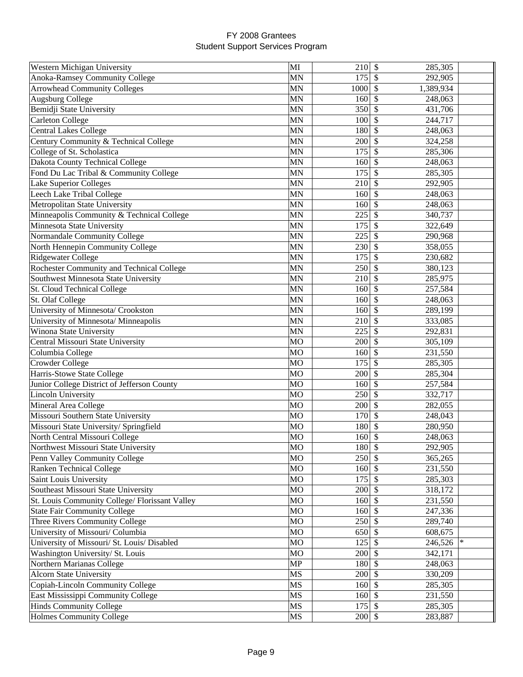| Western Michigan University                    | MI             | $210 \,$ \$       | 285,305                  |  |
|------------------------------------------------|----------------|-------------------|--------------------------|--|
| <b>Anoka-Ramsey Community College</b>          | <b>MN</b>      | 175               | \$<br>292,905            |  |
| <b>Arrowhead Community Colleges</b>            | <b>MN</b>      | 1000              | \$<br>1,389,934          |  |
| <b>Augsburg College</b>                        | <b>MN</b>      | 160               | \$<br>248,063            |  |
| Bemidji State University                       | <b>MN</b>      | 350               | \$<br>431,706            |  |
| <b>Carleton College</b>                        | <b>MN</b>      | 100               | \$<br>244,717            |  |
| Central Lakes College                          | <b>MN</b>      | 180               | \$<br>248,063            |  |
| Century Community & Technical College          | <b>MN</b>      | 200               | \$<br>324,258            |  |
| College of St. Scholastica                     | <b>MN</b>      | 175               | $\mathcal{S}$<br>285,306 |  |
| Dakota County Technical College                | MN             | 160               | \$<br>248,063            |  |
| Fond Du Lac Tribal & Community College         | MN             | 175               | \$<br>285,305            |  |
| Lake Superior Colleges                         | <b>MN</b>      | 210               | \$<br>292,905            |  |
| Leech Lake Tribal College                      | <b>MN</b>      | 160               | \$<br>248,063            |  |
| Metropolitan State University                  | <b>MN</b>      | 160               | \$<br>248,063            |  |
| Minneapolis Community & Technical College      | <b>MN</b>      | 225               | \$<br>340,737            |  |
| Minnesota State University                     | <b>MN</b>      | 175               | \$<br>322,649            |  |
| Normandale Community College                   | <b>MN</b>      | 225               | \$<br>290,968            |  |
| North Hennepin Community College               | <b>MN</b>      | 230               | \$<br>358,055            |  |
| Ridgewater College                             | <b>MN</b>      | 175               | \$<br>230,682            |  |
| Rochester Community and Technical College      | <b>MN</b>      | 250               | \$<br>380,123            |  |
| Southwest Minnesota State University           | <b>MN</b>      | 210               | \$<br>285,975            |  |
| St. Cloud Technical College                    | MN             | 160               | \$<br>257,584            |  |
| St. Olaf College                               | MN             | 160               | \$<br>248,063            |  |
| University of Minnesota/ Crookston             | <b>MN</b>      | 160               | \$<br>289,199            |  |
| University of Minnesota/ Minneapolis           | <b>MN</b>      | 210               | \$<br>333,085            |  |
| Winona State University                        | <b>MN</b>      | 225               | \$<br>292,831            |  |
| Central Missouri State University              | <b>MO</b>      | 200               | \$<br>305,109            |  |
| Columbia College                               | <b>MO</b>      | 160               | \$<br>231,550            |  |
| Crowder College                                | <b>MO</b>      | 175               | \$<br>285,305            |  |
| Harris-Stowe State College                     | <b>MO</b>      | 200               | $\mathcal{S}$<br>285,304 |  |
| Junior College District of Jefferson County    | <b>MO</b>      | $160 \, \text{S}$ | 257,584                  |  |
| <b>Lincoln University</b>                      | <b>MO</b>      | 250               | \$<br>332,717            |  |
| Mineral Area College                           | <b>MO</b>      | 200               | \$<br>282,055            |  |
| Missouri Southern State University             | M <sub>O</sub> | 170               | \$<br>248,043            |  |
| Missouri State University/ Springfield         | <b>MO</b>      | 180               | \$<br>280,950            |  |
| North Central Missouri College                 | <b>MO</b>      | 160               | \$<br>248,063            |  |
| Northwest Missouri State University            | МO             | 180 \$            | 292,905                  |  |
| Penn Valley Community College                  | <b>MO</b>      | 250S              | 365,265                  |  |
| <b>Ranken Technical College</b>                | <b>MO</b>      | 160               | 231,550<br><b>S</b>      |  |
| Saint Louis University                         | MO             | 175               | \$<br>285,303            |  |
| Southeast Missouri State University            | MO             | 200               | \$<br>318,172            |  |
| St. Louis Community College/ Florissant Valley | MO             | 160               | \$<br>231,550            |  |
| <b>State Fair Community College</b>            | MO             | 160               | \$<br>247,336            |  |
| Three Rivers Community College                 | MO             | 250               | $\mathcal{S}$<br>289,740 |  |
| University of Missouri/ Columbia               | <b>MO</b>      | 650               | $\mathcal{S}$<br>608,675 |  |
| University of Missouri/ St. Louis/ Disabled    | MO             | 125               | $\mathcal{S}$<br>246,526 |  |
| Washington University/ St. Louis               | MO             | $200 \text{ }$ \$ | 342,171                  |  |
| Northern Marianas College                      | MP             | 180 \$            | 248,063                  |  |
| <b>Alcorn State University</b>                 | MS             | $200 \, \text{S}$ | 330,209                  |  |
| Copiah-Lincoln Community College               | $\rm MS$       | $160 \, \text{S}$ | 285,305                  |  |
| East Mississippi Community College             | $\rm MS$       | $160 \vert \$     | 231,550                  |  |
| <b>Hinds Community College</b>                 | MS             | 175               | $\mathcal{S}$<br>285,305 |  |
| Holmes Community College                       | <b>MS</b>      | $200 \text{ }$ \$ | 283,887                  |  |
|                                                |                |                   |                          |  |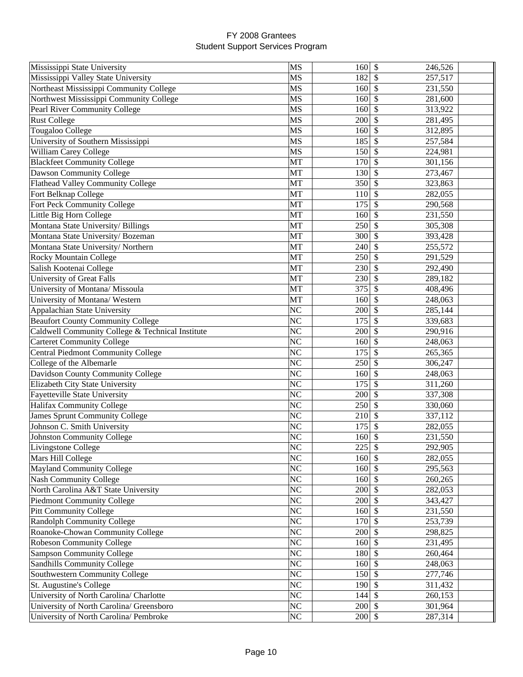| Mississippi State University                     | MS                     | 160               | $\sqrt[6]{\frac{1}{2}}$<br>246,526   |  |
|--------------------------------------------------|------------------------|-------------------|--------------------------------------|--|
| Mississippi Valley State University              | MS                     | 182               | 257,517<br><sup>\$</sup>             |  |
| Northeast Mississippi Community College          | MS                     | 160               | $\mathcal{S}$<br>231,550             |  |
| Northwest Mississippi Community College          | MS                     | 160               | \$<br>281,600                        |  |
| Pearl River Community College                    | <b>MS</b>              | 160               | \$<br>313,922                        |  |
| <b>Rust College</b>                              | MS                     | 200               | \$<br>281,495                        |  |
| Tougaloo College                                 | MS                     | 160               | \$<br>312,895                        |  |
| University of Southern Mississippi               | <b>MS</b>              | 185               | \$<br>257,584                        |  |
| William Carey College                            | <b>MS</b>              | 150               | \$<br>224,981                        |  |
| <b>Blackfeet Community College</b>               | MT                     | 170               | $\mathcal{S}$<br>301,156             |  |
| Dawson Community College                         | MT                     | 130               | $\mathcal{S}$<br>273,467             |  |
| <b>Flathead Valley Community College</b>         | MT                     | 350               | \$<br>323,863                        |  |
| Fort Belknap College                             | MT                     | 110               | \$<br>282,055                        |  |
| Fort Peck Community College                      | MT                     | 175               | $\mathcal{S}$<br>290,568             |  |
| Little Big Horn College                          | MT                     | 160               | \$<br>231,550                        |  |
| Montana State University/ Billings               | MT                     | 250               | \$<br>305,308                        |  |
| Montana State University/Bozeman                 | MT                     | 300               | \$<br>393,428                        |  |
| Montana State University/Northern                | MT                     | 240               | \$<br>255,572                        |  |
| <b>Rocky Mountain College</b>                    | MT                     | 250               | \$<br>291,529                        |  |
| Salish Kootenai College                          | MT                     | 230               | \$<br>292,490                        |  |
| University of Great Falls                        | MT                     | 230               | \$<br>289,182                        |  |
| University of Montana/ Missoula                  | MT                     | 375               | <sup>\$</sup><br>408,496             |  |
| University of Montana/ Western                   | MT                     | 160               | \$<br>248,063                        |  |
| Appalachian State University                     | N <sub>C</sub>         | 200               | \$<br>285,144                        |  |
| <b>Beaufort County Community College</b>         | N <sub>C</sub>         | 175               | $\mathcal{S}$<br>339,683             |  |
| Caldwell Community College & Technical Institute | NC                     | 200               | \$<br>290,916                        |  |
| <b>Carteret Community College</b>                | N <sub>C</sub>         | 160               | \$<br>248,063                        |  |
| Central Piedmont Community College               | N <sub>C</sub>         | 175               | \$<br>265,365                        |  |
| College of the Albemarle                         | N <sub>C</sub>         | 250               | \$<br>306,247                        |  |
| Davidson County Community College                | N <sub>C</sub>         | 160               | $\mathcal{S}$<br>248,063             |  |
| Elizabeth City State University                  | $\overline{\text{NC}}$ | 175               | $\mathcal{S}$<br>311,260             |  |
| Fayetteville State University                    | N <sub>C</sub>         | 200               | $\mathcal{S}$<br>337,308             |  |
| Halifax Community College                        | N <sub>C</sub>         | 250               | $\mathcal{S}$<br>330,060             |  |
| <b>James Sprunt Community College</b>            | N <sub>C</sub>         | 210               | $\sqrt[6]{\frac{1}{2}}$<br>337,112   |  |
| Johnson C. Smith University                      | NC                     | 175               | \$<br>282,055                        |  |
| <b>Johnston Community College</b>                | N <sub>C</sub>         | 160               | \$<br>231,550                        |  |
| Livingstone College                              | NC                     | $225 \, \text{S}$ | 292,905                              |  |
| Mars Hill College                                | N <sub>C</sub>         | $160 \text{ }$ \$ | 282,055                              |  |
| <b>Mayland Community College</b>                 | NC                     | $160 \text{ }$ \$ | 295,563                              |  |
| <b>Nash Community College</b>                    | NC                     | 160               | 260,265<br><sup>\$</sup>             |  |
| North Carolina A&T State University              | NC                     | 200               | \$<br>282,053                        |  |
| <b>Piedmont Community College</b>                | NC                     | 200               | \$<br>343,427                        |  |
| Pitt Community College                           | NC                     | 160               | \$<br>231,550                        |  |
| <b>Randolph Community College</b>                | NC                     | 170               | \$<br>253,739                        |  |
| Roanoke-Chowan Community College                 | NC                     | 200               | $\boldsymbol{\mathsf{S}}$<br>298,825 |  |
| <b>Robeson Community College</b>                 | <b>NC</b>              | $160 \text{ s}$   | 231,495                              |  |
| <b>Sampson Community College</b>                 | NC                     | $180 \vert S$     | 260,464                              |  |
| Sandhills Community College                      | N <sub>C</sub>         | $160 \text{ }$ \$ | 248,063                              |  |
| Southwestern Community College                   | NC                     | 150               | $\boldsymbol{\mathsf{S}}$<br>277,746 |  |
| St. Augustine's College                          | NC                     | $190$ \$          | 311,432                              |  |
| University of North Carolina/ Charlotte          | NC                     | $144 \,$ \$       | 260,153                              |  |
| University of North Carolina/ Greensboro         | NC                     | $200 \, \text{S}$ | 301,964                              |  |
| University of North Carolina/ Pembroke           | NC                     | $200 \, \text{S}$ |                                      |  |
|                                                  |                        |                   | 287,314                              |  |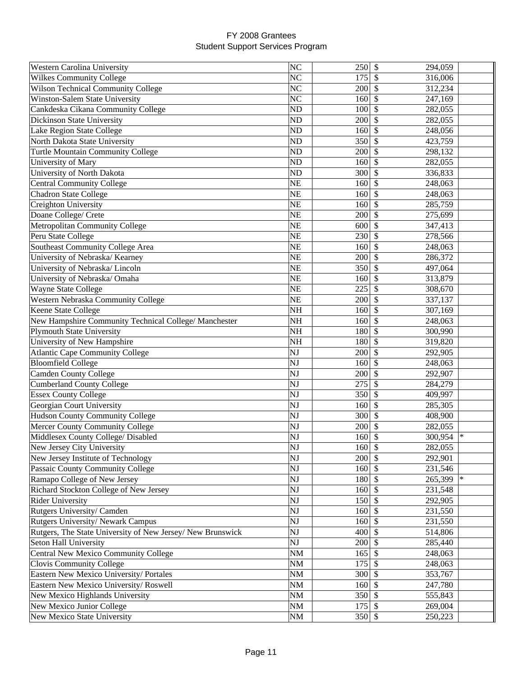| Western Carolina University                                | NC             | 250               | $\boldsymbol{\mathsf{S}}$<br>294,059 |
|------------------------------------------------------------|----------------|-------------------|--------------------------------------|
| <b>Wilkes Community College</b>                            | NC             | 175               | \$<br>316,006                        |
| <b>Wilson Technical Community College</b>                  | <b>NC</b>      | 200               | \$<br>312,234                        |
| Winston-Salem State University                             | N <sub>C</sub> | 160               | \$<br>247,169                        |
| Cankdeska Cikana Community College                         | <b>ND</b>      | 100               | \$<br>282,055                        |
| Dickinson State University                                 | <b>ND</b>      | 200               | \$<br>282,055                        |
| Lake Region State College                                  | <b>ND</b>      | 160               | \$<br>248,056                        |
| North Dakota State University                              | N <sub>D</sub> | 350               | \$<br>423,759                        |
| Turtle Mountain Community College                          | N <sub>D</sub> | 200               | \$<br>298,132                        |
| University of Mary                                         | <b>ND</b>      | 160               | \$<br>282,055                        |
| University of North Dakota                                 | <b>ND</b>      | 300               | \$<br>336,833                        |
| <b>Central Community College</b>                           | <b>NE</b>      | 160               | \$<br>248,063                        |
| <b>Chadron State College</b>                               | <b>NE</b>      | 160               | \$<br>248,063                        |
| Creighton University                                       | NE             | 160               | \$<br>285,759                        |
| Doane College/ Crete                                       | <b>NE</b>      | 200               | \$<br>275,699                        |
| <b>Metropolitan Community College</b>                      | <b>NE</b>      | 600               | \$<br>347,413                        |
| Peru State College                                         | <b>NE</b>      | 230               | \$<br>278,566                        |
| Southeast Community College Area                           | <b>NE</b>      | 160               | \$<br>248,063                        |
| University of Nebraska/ Kearney                            | <b>NE</b>      | 200               | \$<br>286,372                        |
| University of Nebraska/Lincoln                             | <b>NE</b>      | 350               | \$<br>497,064                        |
| University of Nebraska/ Omaha                              | <b>NE</b>      | 160               | \$<br>313,879                        |
| Wayne State College                                        | <b>NE</b>      | 225               | \$                                   |
|                                                            | <b>NE</b>      | 200               | 308,670                              |
| Western Nebraska Community College                         |                |                   | \$<br>337,137                        |
| Keene State College                                        | NH             | 160               | \$<br>307,169                        |
| New Hampshire Community Technical College/ Manchester      | <b>NH</b>      | 160               | \$<br>248,063                        |
| <b>Plymouth State University</b>                           | <b>NH</b>      | 180               | \$<br>300,990                        |
| University of New Hampshire                                | <b>NH</b>      | 180               | \$<br>319,820                        |
| <b>Atlantic Cape Community College</b>                     | NJ             | 200               | \$<br>292,905                        |
| <b>Bloomfield College</b>                                  | NJ             | 160               | \$<br>248,063                        |
| <b>Camden County College</b>                               | NJ             | 200               | \$<br>292,907                        |
| <b>Cumberland County College</b>                           | NJ             | 275               | \$<br>284,279                        |
| <b>Essex County College</b>                                | NJ             | 350               | \$<br>409,997                        |
| Georgian Court University                                  | NJ             | 160               | \$<br>285,305                        |
| <b>Hudson County Community College</b>                     | NJ             | 300               | \$<br>408,900                        |
| Mercer County Community College                            | NJ             | 200               | $\mathcal{S}$<br>282,055             |
| Middlesex County College/ Disabled                         | NJ             | 160               | $\ast$<br>\$<br>300,954              |
| New Jersey City University                                 | NJ             | $160 \,$ \$       | 282,055                              |
| New Jersey Institute of Technology                         | NJ             | 200               | <sup>\$</sup><br>292,901             |
| Passaic County Community College                           | NJ             | 160               | 231,546<br><sup>\$</sup>             |
| Ramapo College of New Jersey                               | NJ             | 180               | 265,399<br>S                         |
| Richard Stockton College of New Jersey                     | NJ             | 160               | \$<br>231,548                        |
| <b>Rider University</b>                                    | NJ             | 150               | \$<br>292,905                        |
| Rutgers University/ Camden                                 | NJ             | 160               | \$<br>231,550                        |
| Rutgers University/Newark Campus                           | NJ             | 160               | \$<br>231,550                        |
| Rutgers, The State University of New Jersey/ New Brunswick | NJ             | $400 \,$ \$       | 514,806                              |
| Seton Hall University                                      | NJ             | $200 \, \text{S}$ | 285,440                              |
| <b>Central New Mexico Community College</b>                | $\rm{NM}$      | $165$ \$          | 248,063                              |
| Clovis Community College                                   | $\rm{NM}$      | 175               | $\boldsymbol{\mathsf{S}}$<br>248,063 |
| Eastern New Mexico University/ Portales                    | $\rm{NM}$      | 300               | $\boldsymbol{\mathsf{S}}$<br>353,767 |
| Eastern New Mexico University/Roswell                      | $\rm{NM}$      | $160 \text{ s}$   | 247,780                              |
| New Mexico Highlands University                            | NM             | $350$ \$          | 555,843                              |
| New Mexico Junior College                                  | NM             | $175 \,$ \$       | 269,004                              |
| New Mexico State University                                | $\rm{NM}$      | $350$ \$          | 250,223                              |
|                                                            |                |                   |                                      |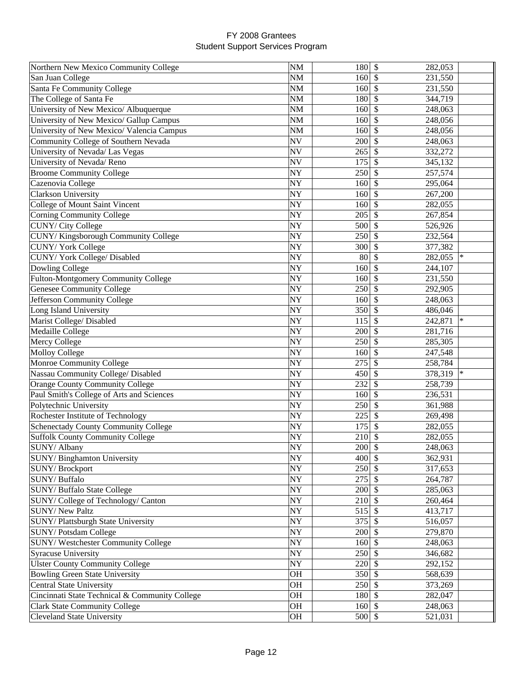| Northern New Mexico Community College          | <b>NM</b>   | 180 \$            | 282,053                  |        |
|------------------------------------------------|-------------|-------------------|--------------------------|--------|
| San Juan College                               | <b>NM</b>   | $160 \text{ s}$   | 231,550                  |        |
| Santa Fe Community College                     | $NM$        | $160 \text{ }$ \$ | 231,550                  |        |
| The College of Santa Fe                        | $NM$        | 180 \$            | 344,719                  |        |
| University of New Mexico/ Albuquerque          | $\rm{NM}$   | 160S              | 248,063                  |        |
| University of New Mexico/ Gallup Campus        | NM          | 160               | $\mathcal{S}$<br>248,056 |        |
| University of New Mexico/ Valencia Campus      | NM          | 160               | $\mathcal{S}$<br>248,056 |        |
| Community College of Southern Nevada           | <b>NV</b>   | 200               | $\mathcal{S}$<br>248,063 |        |
| University of Nevada/ Las Vegas                | <b>NV</b>   | 265               | $\mathcal{S}$<br>332,272 |        |
| University of Nevada/Reno                      | <b>NV</b>   | 175               | $\mathcal{S}$<br>345,132 |        |
| <b>Broome Community College</b>                | <b>NY</b>   | 250               | $\mathcal{S}$<br>257,574 |        |
| Cazenovia College                              | <b>NY</b>   | 160               | $\mathcal{S}$<br>295,064 |        |
| <b>Clarkson University</b>                     | <b>NY</b>   | 160               | $\mathcal{S}$<br>267,200 |        |
| College of Mount Saint Vincent                 | <b>NY</b>   | 160               | $\mathcal{S}$<br>282,055 |        |
| <b>Corning Community College</b>               | NY          | 205               | $\mathcal{S}$<br>267,854 |        |
| CUNY/City College                              | <b>NY</b>   | 500               | $\mathcal{S}$<br>526,926 |        |
| CUNY/Kingsborough Community College            | <b>NY</b>   | 250               | $\mathcal{S}$<br>232,564 |        |
| <b>CUNY/York College</b>                       | NY          | 300               | $\mathcal{S}$<br>377,382 |        |
| CUNY/York College/Disabled                     | <b>NY</b>   | 80                | $\mathcal{S}$<br>282,055 | $\ast$ |
| Dowling College                                | <b>NY</b>   | 160               | $\mathcal{S}$<br>244,107 |        |
| Fulton-Montgomery Community College            | <b>NY</b>   | 160               | -\$<br>231,550           |        |
| <b>Genesee Community College</b>               | <b>NY</b>   | 250               | -\$<br>292,905           |        |
| Jefferson Community College                    | NY          | 160               | $\mathcal{S}$<br>248,063 |        |
| Long Island University                         | <b>NY</b>   | 350               | $\mathcal{S}$<br>486,046 |        |
| Marist College/ Disabled                       | NY          | 115               | $\mathcal{S}$<br>242,871 | $\ast$ |
| Medaille College                               | <b>NY</b>   | 200               | $\mathcal{S}$<br>281,716 |        |
| Mercy College                                  | <b>NY</b>   | 250               | $\mathcal{S}$<br>285,305 |        |
| <b>Molloy College</b>                          | <b>NY</b>   | 160               | $\mathcal{S}$<br>247,548 |        |
| Monroe Community College                       | <b>NY</b>   | 275               | $\mathbb{S}$<br>258,784  |        |
| Nassau Community College/ Disabled             | <b>NY</b>   | 450S              | 378,319                  | $\ast$ |
| <b>Orange County Community College</b>         | <b>NY</b>   | 232               | $\mathcal{S}$<br>258,739 |        |
| Paul Smith's College of Arts and Sciences      | NY          | 160               | $\mathcal{S}$<br>236,531 |        |
| Polytechnic University                         | <b>NY</b>   | 250               | $\mathcal{S}$<br>361,988 |        |
| Rochester Institute of Technology              | <b>NY</b>   | 225               | $\mathcal{S}$<br>269,498 |        |
| Schenectady County Community College           | NY          | 175               | $\mathcal{S}$<br>282,055 |        |
| <b>Suffolk County Community College</b>        | NY          | 210               | $\mathcal{S}$<br>282,055 |        |
| SUNY/ Albany                                   | NY          | $200 \, \text{S}$ | 248,063                  |        |
| SUNY/Binghamton University                     | <b>NY</b>   | $400 \,$ \$       | 362,931                  |        |
| <b>SUNY/Brockport</b>                          | $\bold{NY}$ | $250$ \$          | 317,653                  |        |
| SUNY/Buffalo                                   | $\bold{NY}$ | $275$ \$          | 264,787                  |        |
| SUNY/ Buffalo State College                    | $\bold{NY}$ | $200 \text{ }$ \$ | 285,063                  |        |
| SUNY/College of Technology/Canton              | <b>NY</b>   | $210 \,$ \$       | 260,464                  |        |
| SUNY/ New Paltz                                | <b>NY</b>   | $515$ \$          | 413,717                  |        |
| SUNY/Plattsburgh State University              | <b>NY</b>   | $375$ \$          | 516,057                  |        |
| SUNY/Potsdam College                           | $\bold{NY}$ | $200 \, \text{S}$ | 279,870                  |        |
| SUNY/Westchester Community College             | <b>NY</b>   | $160 \, \text{S}$ | 248,063                  |        |
| <b>Syracuse University</b>                     | <b>NY</b>   | $250$ \$          | 346,682                  |        |
| <b>Ulster County Community College</b>         | NY          | 220 \$            | 292,152                  |        |
| <b>Bowling Green State University</b>          | <b>OH</b>   | $350$ \$          | 568,639                  |        |
| <b>Central State University</b>                | OH          | $250 \,$ \$       | 373,269                  |        |
| Cincinnati State Technical & Community College | OH          | 180 \$            | 282,047                  |        |
| <b>Clark State Community College</b>           | OH          | $160 \,$ \$       | 248,063                  |        |
| <b>Cleveland State University</b>              | OH          | $500$ \$          | 521,031                  |        |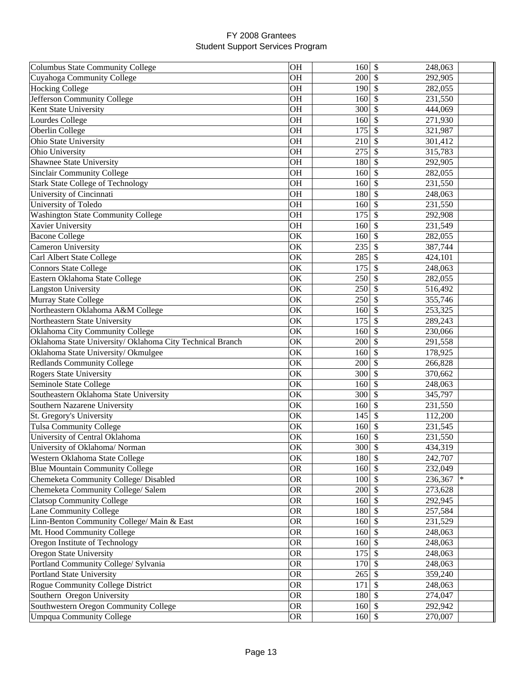| <b>Columbus State Community College</b>                   | <b>OH</b>              | 160                  | $\sqrt[6]{\frac{1}{2}}$<br>248,063 |  |
|-----------------------------------------------------------|------------------------|----------------------|------------------------------------|--|
| Cuyahoga Community College                                | OH                     | 200                  | -S<br>292,905                      |  |
| Hocking College                                           | <b>OH</b>              | 190                  | $\mathcal{S}$<br>282,055           |  |
| Jefferson Community College                               | OH                     | 160                  | \$<br>231,550                      |  |
| Kent State University                                     | OH                     | 300                  | \$<br>444,069                      |  |
| Lourdes College                                           | OH                     | 160                  | $\mathcal{S}$<br>271,930           |  |
| Oberlin College                                           | <b>OH</b>              | 175                  | $\mathcal{S}$<br>321,987           |  |
| Ohio State University                                     | <b>OH</b>              | 210                  | \$.<br>301,412                     |  |
| Ohio University                                           | <b>OH</b>              | 275                  | \$<br>315,783                      |  |
| <b>Shawnee State University</b>                           | <b>OH</b>              | 180                  | \$<br>292,905                      |  |
| <b>Sinclair Community College</b>                         | <b>OH</b>              | 160                  | \$<br>282,055                      |  |
| <b>Stark State College of Technology</b>                  | <b>OH</b>              | 160                  | \$<br>231,550                      |  |
| University of Cincinnati                                  | <b>OH</b>              | 180                  | $\mathcal{S}$<br>248,063           |  |
| University of Toledo                                      | <b>OH</b>              | 160                  | $\mathcal{S}$<br>231,550           |  |
| <b>Washington State Community College</b>                 | <b>OH</b>              | 175                  | $\mathcal{S}$<br>292,908           |  |
| Xavier University                                         | <b>OH</b>              | 160                  | $\mathcal{S}$<br>231,549           |  |
| <b>Bacone College</b>                                     | OK                     | 160                  | $\mathcal{S}$<br>282,055           |  |
| Cameron University                                        | OK                     | 235                  | $\mathcal{S}$<br>387,744           |  |
| Carl Albert State College                                 | OK                     | 285                  | $\mathcal{S}$<br>424,101           |  |
| <b>Connors State College</b>                              | OK                     | 175                  | \$<br>248,063                      |  |
| Eastern Oklahoma State College                            | OK                     | 250                  | \$<br>282,055                      |  |
| <b>Langston University</b>                                | OK                     | 250                  | -S<br>516,492                      |  |
| Murray State College                                      | OK                     | 250                  | 355,746<br>\$.                     |  |
| Northeastern Oklahoma A&M College                         | OK                     | 160                  | \$<br>253,325                      |  |
| Northeastern State University                             | OK                     | 175                  | \$<br>289,243                      |  |
| Oklahoma City Community College                           | OK                     | 160                  | \$<br>230,066                      |  |
| Oklahoma State University/ Oklahoma City Technical Branch | OK                     | 200                  | \$<br>291,558                      |  |
| Oklahoma State University/ Okmulgee                       | OK                     | 160                  | \$<br>178,925                      |  |
| <b>Redlands Community College</b>                         | OK                     | 200                  | $\mathcal{S}$<br>266,828           |  |
| <b>Rogers State University</b>                            | OK                     | 300                  | $\mathcal{S}$<br>370,662           |  |
| Seminole State College                                    | OK                     | 160                  | $\mathcal{S}$<br>248,063           |  |
| Southeastern Oklahoma State University                    | OK                     | 300                  | $\mathcal{S}$<br>345,797           |  |
| Southern Nazarene University                              | OK                     | 160                  | $\mathcal{S}$<br>231,550           |  |
| St. Gregory's University                                  | OK                     | 145                  | \$<br>112,200                      |  |
| <b>Tulsa Community College</b>                            | OK                     | 160                  | \$<br>231,545                      |  |
| University of Central Oklahoma                            | OK                     | 160                  | $\mathcal{S}$<br>231,550           |  |
| University of Oklahoma/ Norman                            | OК                     | 300 \$               | 434,319                            |  |
| Western Oklahoma State College                            | OK                     | 180 \$               | 242,707                            |  |
| <b>Blue Mountain Community College</b>                    | <b>OR</b>              | $160 \text{ }$ \$    | 232,049                            |  |
| Chemeketa Community College/ Disabled                     | <b>OR</b>              | $100 \,$ \$          | 236,367                            |  |
| Chemeketa Community College/ Salem                        | <b>OR</b>              | 200                  | 273,628<br>-S                      |  |
| <b>Clatsop Community College</b>                          | <b>OR</b>              | 160                  | <sup>\$</sup>                      |  |
| Lane Community College                                    | <b>OR</b>              | 180                  | 292,945<br>$\mathcal{S}$           |  |
| Linn-Benton Community College/ Main & East                | <b>OR</b>              | $160 \text{ s}$      | 257,584                            |  |
|                                                           | <b>OR</b>              | 160S                 | 231,529                            |  |
| Mt. Hood Community College                                |                        |                      | 248,063                            |  |
| Oregon Institute of Technology                            | <b>OR</b><br><b>OR</b> | 160S<br>$175$ \$     | 248,063                            |  |
| <b>Oregon State University</b>                            | <b>OR</b>              | $170 \vert \text{S}$ | 248,063                            |  |
| Portland Community College/ Sylvania                      |                        |                      | 248,063                            |  |
| Portland State University                                 | <b>OR</b>              | $265$ \$             | 359,240                            |  |
| Rogue Community College District                          | <b>OR</b>              | 171                  | $\sqrt{3}$<br>248,063              |  |
| Southern Oregon University                                | <b>OR</b>              | 180 \$               | 274,047                            |  |
| Southwestern Oregon Community College                     | <b>OR</b>              | $160 \, \text{S}$    | 292,942                            |  |
| <b>Umpqua Community College</b>                           | <b>OR</b>              | $160 \,$ \$          | 270,007                            |  |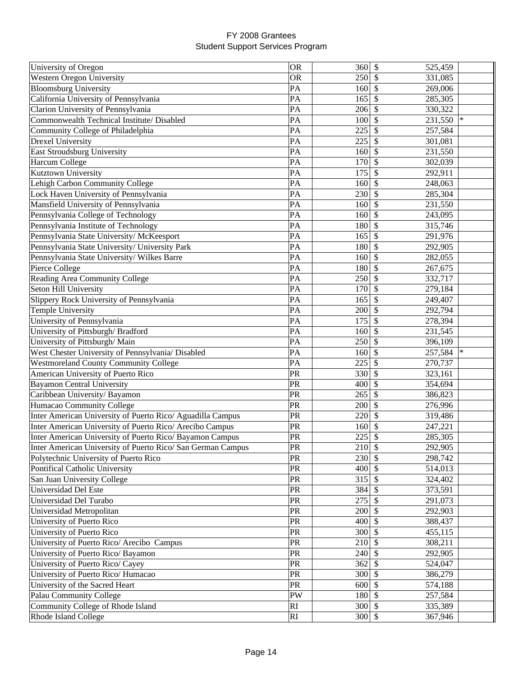| University of Oregon                                        | <b>OR</b>                         | 360               | $\boldsymbol{\mathsf{S}}$<br>525,459 |        |
|-------------------------------------------------------------|-----------------------------------|-------------------|--------------------------------------|--------|
| <b>Western Oregon University</b>                            | <b>OR</b>                         | 250               | 331,085<br>\$                        |        |
| <b>Bloomsburg University</b>                                | PA                                | 160               | $\mathbb{S}$<br>269,006              |        |
| California University of Pennsylvania                       | PA                                | 165               | \$<br>285,305                        |        |
| Clarion University of Pennsylvania                          | PA                                | 206               | \$<br>330,322                        |        |
| Commonwealth Technical Institute/ Disabled                  | PA                                | 100               | \$<br>231,550                        | $\ast$ |
|                                                             | PA                                | 225               | \$                                   |        |
| Community College of Philadelphia                           |                                   |                   | 257,584<br>$\mathcal{S}$             |        |
| <b>Drexel University</b>                                    | PA                                | 225               | 301,081                              |        |
| East Stroudsburg University                                 | PA                                | 160               | $\mathcal{S}$<br>231,550             |        |
| Harcum College                                              | PA                                | 170               | \$<br>302,039                        |        |
| Kutztown University                                         | PA                                | 175               | \$<br>292,911                        |        |
| Lehigh Carbon Community College                             | PA                                | 160               | \$<br>248,063                        |        |
| Lock Haven University of Pennsylvania                       | PA                                | 230               | $\boldsymbol{\mathsf{S}}$<br>285,304 |        |
| Mansfield University of Pennsylvania                        | PA                                | 160               | \$<br>231,550                        |        |
| Pennsylvania College of Technology                          | PA                                | 160               | \$<br>243,095                        |        |
| Pennsylvania Institute of Technology                        | PA                                | 180               | \$<br>315,746                        |        |
| Pennsylvania State University/ McKeesport                   | PA                                | 165               | \$<br>291,976                        |        |
| Pennsylvania State University/ University Park              | PA                                | 180               | \$<br>292,905                        |        |
| Pennsylvania State University/ Wilkes Barre                 | PA                                | 160               | \$<br>282,055                        |        |
| Pierce College                                              | PA                                | 180               | \$<br>267,675                        |        |
| Reading Area Community College                              | PA                                | 250               | \$<br>332,717                        |        |
| Seton Hill University                                       | PA                                | 170               | \$<br>279,184                        |        |
| Slippery Rock University of Pennsylvania                    | PA                                | 165               | \$<br>249,407                        |        |
| Temple University                                           | PA                                | 200               | $\mathcal{S}$<br>292,794             |        |
| University of Pennsylvania                                  | PA                                | 175               | \$<br>278,394                        |        |
| University of Pittsburgh/Bradford                           | PA                                | 160               | $\mathcal{S}$<br>231,545             |        |
| University of Pittsburgh/ Main                              | PA                                | 250               | $\mathcal{S}$<br>396,109             |        |
| West Chester University of Pennsylvania/ Disabled           | PA                                | 160               | \$<br>257,584                        | $\ast$ |
| <b>Westmoreland County Community College</b>                | PA                                | 225               | \$<br>270,737                        |        |
| American University of Puerto Rico                          | PR                                | 330               | \$<br>323,161                        |        |
| <b>Bayamon Central University</b>                           | PR                                | 400               | \$<br>354,694                        |        |
| Caribbean University/ Bayamon                               | PR                                | 265               | \$<br>386,823                        |        |
| Humacao Community College                                   | PR                                | 200               | \$<br>276,996                        |        |
| Inter American University of Puerto Rico/ Aguadilla Campus  | PR                                | 220               | \$<br>319,486                        |        |
| Inter American University of Puerto Rico/ Arecibo Campus    | PR                                | 160               | \$<br>247,221                        |        |
| Inter American University of Puerto Rico/ Bayamon Campus    | PR                                | 225               | \$<br>285,305                        |        |
| Inter American University of Puerto Rico/ San German Campus | PR                                | $210 \,$ \$       | 292,905                              |        |
| Polytechnic University of Puerto Rico                       | PR                                | $230 \, \text{s}$ | 298,742                              |        |
|                                                             | $\ensuremath{\mathsf{PR}}\xspace$ | 400               | $\mathbb{S}$                         |        |
| Pontifical Catholic University                              | PR                                |                   | 514,013                              |        |
| San Juan University College                                 |                                   | 315               | \$<br>324,402                        |        |
| Universidad Del Este                                        | PR                                | 384               | $\mathcal{S}$<br>373,591             |        |
| Universidad Del Turabo                                      | $\ensuremath{\mathsf{PR}}\xspace$ | 275               | \$<br>291,073                        |        |
| Universidad Metropolitan                                    | $\ensuremath{\mathsf{PR}}\xspace$ | 200               | $\mathcal{S}$<br>292,903             |        |
| University of Puerto Rico                                   | PR                                | $400 \vert S$     | 388,437                              |        |
| University of Puerto Rico                                   | <b>PR</b>                         | $300 \mid$ \$     | 455,115                              |        |
| University of Puerto Rico/ Arecibo Campus                   | ${\rm PR}$                        | 210               | $\mathcal{S}$<br>308,211             |        |
| University of Puerto Rico/ Bayamon                          | PR                                | 240               | $\mathcal{S}$<br>292,905             |        |
| University of Puerto Rico/ Cayey                            | ${\sf PR}$                        | 362               | \$<br>524,047                        |        |
| University of Puerto Rico/ Humacao                          | ${\rm PR}$                        | 300               | $\mathcal{S}$<br>386,279             |        |
| University of the Sacred Heart                              | PR                                | 600               | \$<br>574,188                        |        |
| Palau Community College                                     | PW                                | 180               | $\mathcal{S}$<br>257,584             |        |
| Community College of Rhode Island                           | RI                                | 300               | $\mathbb{S}$<br>335,389              |        |
| Rhode Island College                                        | RI                                | $300 \, \text{S}$ | 367,946                              |        |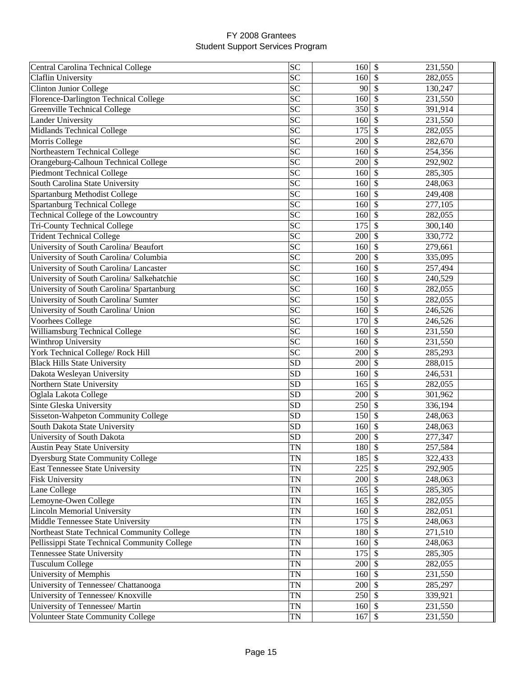| Central Carolina Technical College            | <b>SC</b>       | 160               | $\boldsymbol{\mathsf{S}}$<br>231,550 |
|-----------------------------------------------|-----------------|-------------------|--------------------------------------|
| Claflin University                            | SC              | 160               | 282,055<br>S                         |
| <b>Clinton Junior College</b>                 | SC              | 90                | \$<br>130,247                        |
| Florence-Darlington Technical College         | $\overline{SC}$ | 160               | \$<br>231,550                        |
| Greenville Technical College                  | <b>SC</b>       | 350               | \$<br>391,914                        |
| <b>Lander University</b>                      | SC              | 160               | \$<br>231,550                        |
| Midlands Technical College                    | <b>SC</b>       | 175               | \$<br>282,055                        |
| Morris College                                | <b>SC</b>       | 200               | \$<br>282,670                        |
| Northeastern Technical College                | SC              | 160               | $\mathcal{S}$<br>254,356             |
| Orangeburg-Calhoun Technical College          | $\overline{SC}$ | 200               | \$<br>292,902                        |
| <b>Piedmont Technical College</b>             | $\overline{SC}$ | 160               | \$<br>285,305                        |
| South Carolina State University               | SC              | 160               | \$<br>248,063                        |
| Spartanburg Methodist College                 | SC              | 160               | $\mathcal{S}$<br>249,408             |
| <b>Spartanburg Technical College</b>          | $\overline{SC}$ | 160               | \$<br>277,105                        |
| Technical College of the Lowcountry           | $\overline{SC}$ | 160               | \$<br>282,055                        |
| <b>Tri-County Technical College</b>           | SC              | 175               | \$<br>300,140                        |
| <b>Trident Technical College</b>              | SC              | 200               | \$<br>330,772                        |
| University of South Carolina/ Beaufort        | SC              | 160               | \$<br>279,661                        |
| University of South Carolina/ Columbia        | SC              | 200               | \$<br>335,095                        |
| University of South Carolina/ Lancaster       | <b>SC</b>       | 160               | \$<br>257,494                        |
| University of South Carolina/ Salkehatchie    | SC              | 160               | \$<br>240,529                        |
| University of South Carolina/ Spartanburg     | <b>SC</b>       | 160               | \$<br>282,055                        |
| University of South Carolina/ Sumter          | <b>SC</b>       | 150               |                                      |
|                                               |                 |                   | \$<br>282,055                        |
| University of South Carolina/ Union           | <b>SC</b>       | 160               | \$<br>246,526                        |
| Voorhees College                              | SC              | 170               | \$<br>246,526                        |
| Williamsburg Technical College                | SC              | 160               | \$<br>231,550                        |
| Winthrop University                           | SC              | 160               | \$<br>231,550                        |
| York Technical College/ Rock Hill             | <b>SC</b>       | 200               | \$<br>285,293                        |
| <b>Black Hills State University</b>           | <b>SD</b>       | 200               | $\mathcal{S}$<br>288,015             |
| Dakota Wesleyan University                    | <b>SD</b>       | 160               | \$<br>246,531                        |
| Northern State University                     | <b>SD</b>       | 165               | \$<br>282,055                        |
| Oglala Lakota College                         | <b>SD</b>       | 200               | \$<br>301,962                        |
| Sinte Gleska University                       | <b>SD</b>       | 250               | \$<br>336,194                        |
| Sisseton-Wahpeton Community College           | <b>SD</b>       | 150               | \$<br>248,063                        |
| South Dakota State University                 | <b>SD</b>       | 160               | \$<br>248,063                        |
| University of South Dakota                    | <b>SD</b>       | 200               | \$<br>277,347                        |
| <b>Austin Peay State University</b>           | TN              | 180 \$            | 257,584                              |
| <b>Dyersburg State Community College</b>      | <b>TN</b>       | $185$ \$          | 322,433                              |
| East Tennessee State University               | <b>TN</b>       | 225               | 292,905                              |
| <b>Fisk University</b>                        | <b>TN</b>       | 200               | 248,063<br><sup>\$</sup>             |
| Lane College                                  | <b>TN</b>       | 165               | \$<br>285,305                        |
| Lemoyne-Owen College                          | <b>TN</b>       | 165               | \$<br>282,055                        |
| <b>Lincoln Memorial University</b>            | <b>TN</b>       | 160               | \$<br>282,051                        |
| Middle Tennessee State University             | <b>TN</b>       | 175               | $\mathsf{\$}$<br>248,063             |
| Northeast State Technical Community College   | <b>TN</b>       | 180 \$            | 271,510                              |
| Pellissippi State Technical Community College | <b>TN</b>       | $160 \vert \$     | 248,063                              |
| Tennessee State University                    | <b>TN</b>       | $175$ \$          | 285,305                              |
| <b>Tusculum College</b>                       | <b>TN</b>       | $200 \, \text{S}$ | 282,055                              |
| University of Memphis                         | TN              | $160 \vert \$     | 231,550                              |
| University of Tennessee/ Chattanooga          | TN              | $200 \, \text{S}$ | 285,297                              |
| University of Tennessee/ Knoxville            | TN              | $250$ \$          | 339,921                              |
| University of Tennessee/ Martin               | TN              | $160 \mid$ \$     | 231,550                              |
| <b>Volunteer State Community College</b>      | TN              | $167$ \$          | 231,550                              |
|                                               |                 |                   |                                      |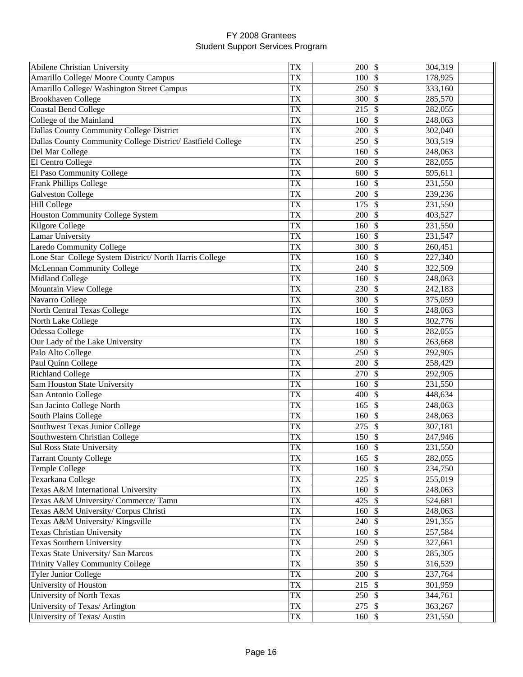| Abilene Christian University                               | <b>TX</b>              | 200               | \$<br>304,319                        |  |
|------------------------------------------------------------|------------------------|-------------------|--------------------------------------|--|
| Amarillo College/ Moore County Campus                      | <b>TX</b>              | 100               | 178,925<br>\$                        |  |
| Amarillo College/ Washington Street Campus                 | <b>TX</b>              | 250               | \$<br>333,160                        |  |
| <b>Brookhaven College</b>                                  | <b>TX</b>              | 300               | 285,570<br>\$                        |  |
| <b>Coastal Bend College</b>                                | <b>TX</b>              | 215               | \$<br>282,055                        |  |
| College of the Mainland                                    | <b>TX</b>              | 160               | \$<br>248,063                        |  |
| Dallas County Community College District                   | <b>TX</b>              | 200               | \$<br>302,040                        |  |
| Dallas County Community College District/Eastfield College | <b>TX</b>              | 250               | \$<br>303,519                        |  |
| Del Mar College                                            | <b>TX</b>              | 160               | \$<br>248,063                        |  |
| El Centro College                                          | <b>TX</b>              | 200               | \$<br>282,055                        |  |
| El Paso Community College                                  | <b>TX</b>              | 600               | \$<br>595,611                        |  |
| Frank Phillips College                                     | <b>TX</b>              | 160               | \$<br>231,550                        |  |
|                                                            | <b>TX</b>              | 200               | $\mathcal{S}$                        |  |
| <b>Galveston College</b>                                   | <b>TX</b>              |                   | 239,236                              |  |
| <b>Hill College</b>                                        |                        | 175               | \$<br>231,550                        |  |
| <b>Houston Community College System</b>                    | <b>TX</b>              | 200               | \$<br>403,527                        |  |
| Kilgore College                                            | TX                     | 160               | \$<br>231,550                        |  |
| <b>Lamar University</b>                                    | <b>TX</b>              | 160               | \$<br>231,547                        |  |
| <b>Laredo Community College</b>                            | TX                     | 300               | \$<br>260,451                        |  |
| Lone Star College System District/North Harris College     | <b>TX</b>              | 160               | \$<br>227,340                        |  |
| McLennan Community College                                 | <b>TX</b>              | 240               | \$<br>322,509                        |  |
| Midland College                                            | <b>TX</b>              | 160               | \$<br>248,063                        |  |
| Mountain View College                                      | <b>TX</b>              | 230               | \$<br>242,183                        |  |
| Navarro College                                            | <b>TX</b>              | 300               | \$<br>375,059                        |  |
| North Central Texas College                                | <b>TX</b>              | 160               | \$<br>248,063                        |  |
| North Lake College                                         | <b>TX</b>              | 180               | \$<br>302,776                        |  |
| Odessa College                                             | <b>TX</b>              | 160               | \$<br>282,055                        |  |
| Our Lady of the Lake University                            | <b>TX</b>              | 180               | \$<br>263,668                        |  |
| Palo Alto College                                          | TX                     | 250               | $\boldsymbol{\mathsf{S}}$<br>292,905 |  |
| Paul Quinn College                                         | <b>TX</b>              | 200               | $\boldsymbol{\mathsf{S}}$<br>258,429 |  |
| <b>Richland College</b>                                    | <b>TX</b>              | 270               | $\boldsymbol{\mathsf{S}}$<br>292,905 |  |
| Sam Houston State University                               | <b>TX</b>              | 160               | $\boldsymbol{\mathsf{S}}$<br>231,550 |  |
| San Antonio College                                        | TX                     | 400               | \$<br>448,634                        |  |
| San Jacinto College North                                  | TX                     | 165               | \$<br>248,063                        |  |
| South Plains College                                       | TX                     | 160               | \$<br>248,063                        |  |
| Southwest Texas Junior College                             | <b>TX</b>              | 275               | \$<br>307,181                        |  |
| Southwestern Christian College                             | <b>TX</b>              | 150               | \$<br>247,946                        |  |
| Sul Ross State University                                  | TX                     | $160 \,$ \$       | 231,550                              |  |
| <b>Tarrant County College</b>                              | <b>TX</b>              | $165$ \$          | 282,055                              |  |
| Temple College                                             | <b>TX</b>              | 160               | 234,750<br>$\mathcal{S}$             |  |
| Texarkana College                                          | <b>TX</b>              | 225               | \$<br>255,019                        |  |
| Texas A&M International University                         | <b>TX</b>              | 160               | $\mathcal{S}$<br>248,063             |  |
| Texas A&M University/ Commerce/ Tamu                       | <b>TX</b>              | 425               | \$<br>524,681                        |  |
| Texas A&M University/ Corpus Christi                       | <b>TX</b>              | 160               | $\mathcal{S}$<br>248,063             |  |
| Texas A&M University/ Kingsville                           | <b>TX</b>              | $240$ \$          | 291,355                              |  |
| <b>Texas Christian University</b>                          | <b>TX</b>              | $160 \mid$ \$     | 257,584                              |  |
| <b>Texas Southern University</b>                           | <b>TX</b>              | $250$ \$          | 327,661                              |  |
| Texas State University/ San Marcos                         | $\overline{\text{TX}}$ | 200               | \$<br>285,305                        |  |
|                                                            | TX                     |                   |                                      |  |
| <b>Trinity Valley Community College</b>                    |                        | 350               | \$<br>316,539                        |  |
| <b>Tyler Junior College</b>                                | TX                     | 200               | $\mathbb{S}$<br>237,764              |  |
| University of Houston                                      | <b>TX</b>              | 215               | \$<br>301,959                        |  |
| University of North Texas                                  | <b>TX</b>              | 250               | \$<br>344,761                        |  |
| University of Texas/ Arlington                             | ${\rm T}{\rm X}$       | $275$ \$          | 363,267                              |  |
| University of Texas/ Austin                                | ${\rm T}{\rm X}$       | $160 \, \text{S}$ | 231,550                              |  |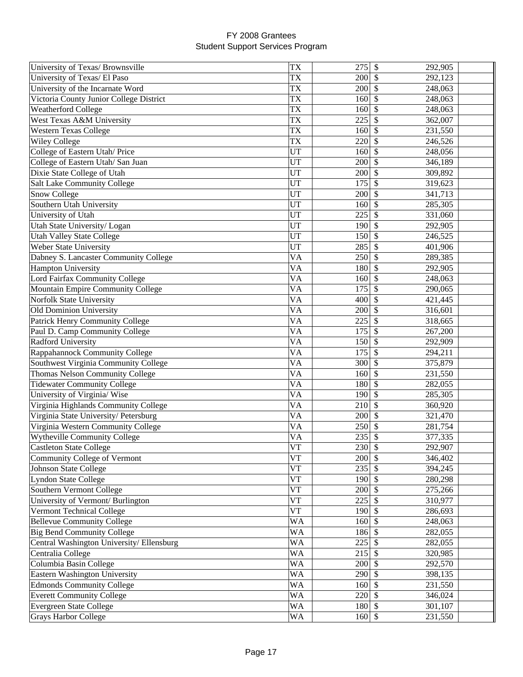| University of Texas/ Brownsville         | <b>TX</b>  | 275               | \$<br>292,905                        |  |
|------------------------------------------|------------|-------------------|--------------------------------------|--|
| University of Texas/ El Paso             | TX         | 200               | 292,123<br>\$                        |  |
| University of the Incarnate Word         | TX         | 200               | \$<br>248,063                        |  |
| Victoria County Junior College District  | <b>TX</b>  | 160               | \$<br>248,063                        |  |
| Weatherford College                      | <b>TX</b>  | 160               | \$<br>248,063                        |  |
| West Texas A&M University                | <b>TX</b>  | 225               | \$.<br>362,007                       |  |
| <b>Western Texas College</b>             | <b>TX</b>  | 160               | \$<br>231,550                        |  |
| <b>Wiley College</b>                     | <b>TX</b>  | 220               | <sup>\$</sup><br>246,526             |  |
| College of Eastern Utah/ Price           | <b>UT</b>  | 160               | \$<br>248,056                        |  |
| College of Eastern Utah/ San Juan        | UT         | 200               | \$<br>346,189                        |  |
| Dixie State College of Utah              | <b>UT</b>  | 200               | $\mathcal{S}$<br>309,892             |  |
| Salt Lake Community College              | <b>UT</b>  | 175               | \$<br>319,623                        |  |
| Snow College                             | <b>UT</b>  | 200               | $\boldsymbol{\mathsf{S}}$<br>341,713 |  |
| Southern Utah University                 | UT         | 160               | $\boldsymbol{\mathsf{S}}$<br>285,305 |  |
|                                          | <b>UT</b>  |                   |                                      |  |
| University of Utah                       |            | 225               | \$<br>331,060                        |  |
| Utah State University/ Logan             | UT         | 190               | \$<br>292,905                        |  |
| <b>Utah Valley State College</b>         | UT         | 150               | \$<br>246,525                        |  |
| Weber State University                   | UT         | 285               | \$<br>401,906                        |  |
| Dabney S. Lancaster Community College    | VA         | 250               | \$<br>289,385                        |  |
| Hampton University                       | VA         | 180               | \$<br>292,905                        |  |
| Lord Fairfax Community College           | VA         | 160               | \$<br>248,063                        |  |
| Mountain Empire Community College        | <b>VA</b>  | 175               | \$<br>290,065                        |  |
| Norfolk State University                 | <b>VA</b>  | 400               | $\mathcal{S}$<br>421,445             |  |
| Old Dominion University                  | <b>VA</b>  | 200               | \$<br>316,601                        |  |
| Patrick Henry Community College          | <b>VA</b>  | 225               | \$<br>318,665                        |  |
| Paul D. Camp Community College           | VA         | 175               | \$<br>267,200                        |  |
| <b>Radford University</b>                | VA         | 150               | \$<br>292,909                        |  |
| Rappahannock Community College           | VA         | 175               | \$<br>294,211                        |  |
| Southwest Virginia Community College     | VA         | 300               | $\mathcal{S}$<br>375,879             |  |
| Thomas Nelson Community College          | VA         | 160               | $\boldsymbol{\mathsf{S}}$<br>231,550 |  |
| Tidewater Community College              | VA         | 180               | $\mathcal{S}$<br>282,055             |  |
| University of Virginia/ Wise             | VA         | 190               | $\mathcal{S}$<br>285,305             |  |
| Virginia Highlands Community College     | <b>VA</b>  | 210               | \$<br>360,920                        |  |
| Virginia State University/ Petersburg    | VA         | 200               | $\boldsymbol{\mathsf{S}}$<br>321,470 |  |
| Virginia Western Community College       | VA         | 250               | \$<br>281,754                        |  |
| Wytheville Community College             | VA         | 235               | $\mathcal{S}$<br>377,335             |  |
| <b>Castleton State College</b>           | VT         | $230$ \$          | 292,907                              |  |
| <b>Community College of Vermont</b>      | $V\bar{T}$ | $200 \, \text{S}$ | 346,402                              |  |
| Johnson State College                    | V T        | 235               | 394,245<br>$\mathbb{S}$              |  |
| <b>Lyndon State College</b>              | <b>VT</b>  | 190               | 280,298<br><sup>\$</sup>             |  |
| Southern Vermont College                 | $V\bar{T}$ | 200               | \$.<br>275,266                       |  |
| University of Vermont/ Burlington        | <b>VT</b>  | 225               | \$<br>310,977                        |  |
|                                          | $V\bar{T}$ |                   |                                      |  |
| Vermont Technical College                |            | 190               | \$<br>286,693                        |  |
| <b>Bellevue Community College</b>        | <b>WA</b>  | 160               | \$<br>248,063                        |  |
| <b>Big Bend Community College</b>        | WA         | 186               | \$<br>282,055                        |  |
| Central Washington University/Ellensburg | WA         | 225               | $\mathcal{S}$<br>282,055             |  |
| Centralia College                        | WA         | 215               | \$<br>320,985                        |  |
| Columbia Basin College                   | <b>WA</b>  | 200               | $\mathcal{S}$<br>292,570             |  |
| Eastern Washington University            | WA         | 290               | \$<br>398,135                        |  |
| <b>Edmonds Community College</b>         | <b>WA</b>  | 160               | \$<br>231,550                        |  |
| <b>Everett Community College</b>         | WA         | 220               | $\mathcal{S}$<br>346,024             |  |
| <b>Evergreen State College</b>           | <b>WA</b>  | 180               | 301,107<br>$\mathbb{S}$              |  |
| <b>Grays Harbor College</b>              | <b>WA</b>  | $160 \vert \$     | 231,550                              |  |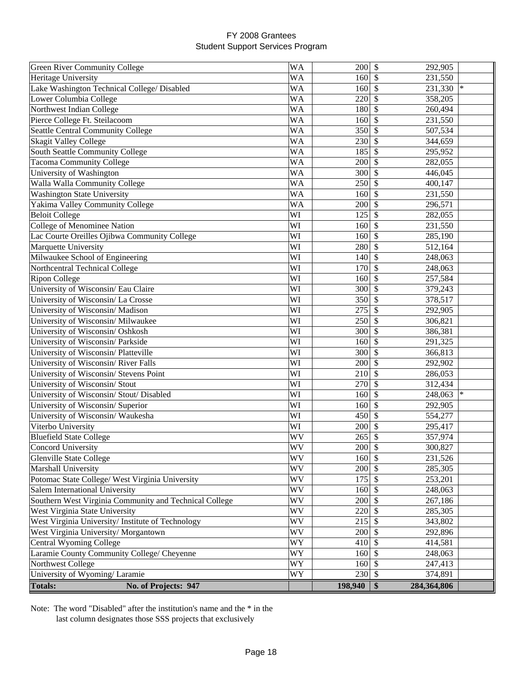| Green River Community College                          | <b>WA</b> | 200                  | \$<br>292,905             |        |
|--------------------------------------------------------|-----------|----------------------|---------------------------|--------|
| Heritage University                                    | WA        | 160                  | 231,550<br>\$             |        |
| Lake Washington Technical College/ Disabled            | <b>WA</b> | 160                  | \$<br>231,330             | $\ast$ |
| Lower Columbia College                                 | WA        | 220                  | \$<br>358,205             |        |
| Northwest Indian College                               | <b>WA</b> | 180                  | \$<br>260,494             |        |
| Pierce College Ft. Steilacoom                          | <b>WA</b> | 160                  | \$<br>231,550             |        |
| <b>Seattle Central Community College</b>               | <b>WA</b> | 350                  | $\mathcal{S}$<br>507,534  |        |
| <b>Skagit Valley College</b>                           | <b>WA</b> | 230                  | \$<br>344,659             |        |
| South Seattle Community College                        | <b>WA</b> | 185                  | \$<br>295,952             |        |
| <b>Tacoma Community College</b>                        | <b>WA</b> | 200                  | \$<br>282,055             |        |
| University of Washington                               | <b>WA</b> | 300                  | \$<br>446,045             |        |
| Walla Walla Community College                          | <b>WA</b> | 250                  | \$<br>400,147             |        |
| <b>Washington State University</b>                     | <b>WA</b> | 160                  | \$<br>231,550             |        |
| Yakima Valley Community College                        | <b>WA</b> | 200                  | \$<br>296,571             |        |
| <b>Beloit College</b>                                  | WI        | 125                  | \$<br>282,055             |        |
| College of Menominee Nation                            | WI        | 160                  | \$<br>231,550             |        |
| Lac Courte Oreilles Ojibwa Community College           | WI        | 160                  | \$<br>285,190             |        |
| Marquette University                                   | WI        | 280                  | \$<br>512,164             |        |
| Milwaukee School of Engineering                        | WI        | 140                  | \$<br>248,063             |        |
| Northcentral Technical College                         | WI        | 170                  | \$<br>248,063             |        |
| <b>Ripon College</b>                                   | WI        | 160                  | \$<br>257,584             |        |
| University of Wisconsin/ Eau Claire                    | WI        | 300                  | \$<br>379,243             |        |
| University of Wisconsin/La Crosse                      | WI        | 350                  | \$<br>378,517             |        |
| University of Wisconsin/ Madison                       | WI        | 275                  | \$<br>292,905             |        |
| University of Wisconsin/ Milwaukee                     | WI        | 250                  | \$<br>306,821             |        |
| University of Wisconsin/ Oshkosh                       | WI        | 300                  | \$<br>386,381             |        |
| University of Wisconsin/ Parkside                      | WI        | 160                  | \$<br>291,325             |        |
| University of Wisconsin/ Platteville                   | WI        | 300                  | \$<br>366,813             |        |
| University of Wisconsin/River Falls                    | WI        | 200                  | \$<br>292,902             |        |
| University of Wisconsin/ Stevens Point                 | WI        | 210                  | \$<br>286,053             |        |
| University of Wisconsin/ Stout                         | WI        | 270                  | \$<br>312,434             |        |
| University of Wisconsin/Stout/Disabled                 | WI        | 160                  | \$<br>248,063             | $\ast$ |
| University of Wisconsin/ Superior                      | WI        | 160                  | \$<br>292,905             |        |
| University of Wisconsin/ Waukesha                      | WI        | 450                  | \$<br>554,277             |        |
| Viterbo University                                     | WI        | 200                  | \$<br>295,417             |        |
| <b>Bluefield State College</b>                         | WV        | 265                  | \$<br>357,974             |        |
| <b>Concord University</b>                              | WV        | $200 \text{ }$ \$    | 300,827                   |        |
| <b>Glenville State College</b>                         | WV        | $160 \, \text{S}$    | 231,526                   |        |
| Marshall University                                    | <b>WV</b> | $200 \, \text{S}$    | 285,305                   |        |
| Potomac State College/ West Virginia University        | WV        | 175                  | $\mathcal{S}$<br>253,201  |        |
| Salem International University                         | WV        | 160                  | $\mathcal{S}$<br>248,063  |        |
| Southern West Virginia Community and Technical College | WV        | 200                  | $\mathcal{S}$<br>267,186  |        |
| West Virginia State University                         | WV        | 220                  | $\mathcal{S}$<br>285,305  |        |
| West Virginia University/Institute of Technology       | <b>WV</b> | 215                  | \$<br>343,802             |        |
| West Virginia University/Morgantown                    | <b>WV</b> | $200 \text{ s}$      | 292,896                   |        |
| Central Wyoming College                                | <b>WY</b> | $410 \vert \text{S}$ | 414,581                   |        |
| Laramie County Community College/ Cheyenne             | WY        | $160 \, \text{S}$    | 248,063                   |        |
| Northwest College                                      | WY        | 160                  | \$<br>247,413             |        |
| University of Wyoming/Laramie                          | WY        | $230 \text{ }$ \$    | 374,891                   |        |
| <b>Totals:</b><br>No. of Projects: 947                 |           | 198,940              | $\vert$ \$<br>284,364,806 |        |

Note: The word "Disabled" after the institution's name and the \* in the last column designates those SSS projects that exclusively